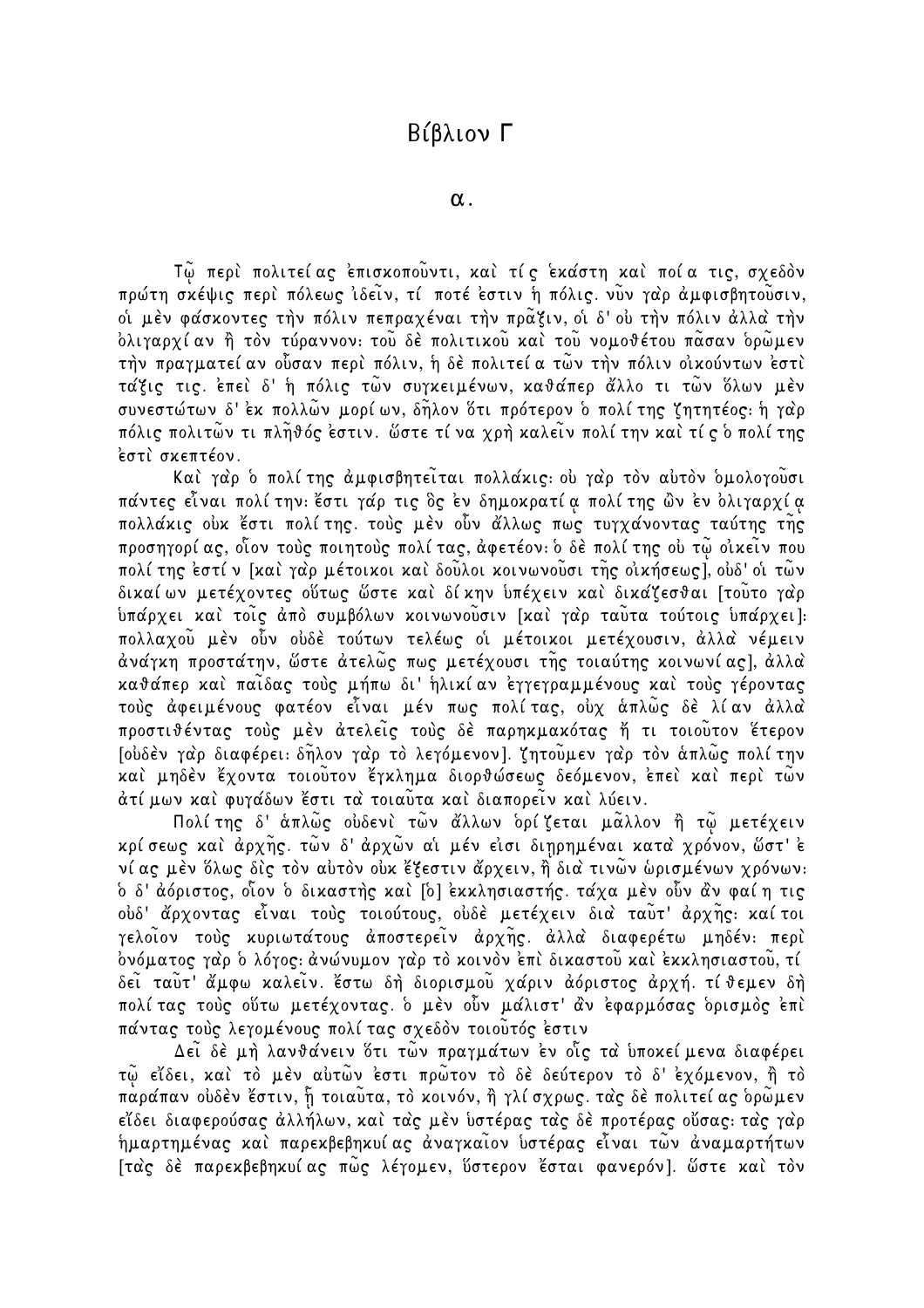# Βίβλιον Γ

Τώ περί πολιτείας επισκοπούντι, και τίς εκάστη και ποία τις, σχεδόν πρώτη σκέψις περί πόλεως ιδείν, τί ποτέ εστιν ή πόλις. νύν γαρ αμφισβητούσιν, οί μέν φασκοντες την πόλιν πεπραγέναι την πρατιν, οί δ' ού την πόλιν αλλα την όλιγαρχίαν ή τον τύραννον: τοῦ δὲ πολιτικοῦ καὶ τοῦ νομοθέτου πἆσαν δρῶμεν την πραγματεί αν ούσαν περί πόλιν, ή δέ πολιτεί α των την πόλιν οικούντων έστι τάξις τις 'επεί δ' ή πόλις τῶν συγκειμένων, καθάπερ ἄλλο τι τῶν ὅλων μέν συνεστώτων δ'εκ πολλών μορίων, δήλον ότι πρότερον ο πολίτης ζητητέος: ή γαρ πόλις πολιτῶν τι πλῆθός 'εστιν. ὥστε τί να χρή καλεῖν πολί την καὶ τί ς ὁ πολί της έστι σκεπτέον.

Και γαρ ο πολίτης άμφισβητείται πολλάκις: ού γαρ τον αύτον δμολογούσι πάντες είναι πολίτην: έστι γάρ τις δς έν δημοκρατία πολίτης ὢν έν ολιγαρχία πολλακις ούκ έστι πολίτης. τούς μέν ούν άλλως πως τυγχανοντας ταύτης της προσηγορίας, οίον τούς ποιητούς πολίτας, άφετέον: ο δε πολίτης ου τω οικείν που πολί της έστί ν [και γαρ μέτοικοι και δούλοι κοινωνούσι της οικήσεως], ουδ' οι των δικαίων μετέχοντες ούτως ώστε και δίκην υπέχειν και δικάζεσθαι [τουτο γαρ υπάρχει καὶ τοις ἀπὸ συμβόλων κοινωνοῦσιν [καὶ γαρ ταῦτα τούτοις ὑπάρχει]: πολλαχού μέν ούν ούδέ τούτων τελέως οί μέτοικοι μετέχουσιν, άλλα νέμειν άνάγκη προστάτην, ώστε άτελως πως μετέχουσι της τοιαύτης κοινωνίας], άλλα καθάπερ και παιδας τους μήπω δι' ηλικί αν εγγεγραμμένους και τους γέροντας τούς άφειμένους φατέον είναι μέν πως πολίτας, ούχ άπλως δε λίαν άλλα προστιθέντας τούς μέν άτελείς τούς δέ παρηκμακότας ή τι τοιούτον έτερον Γούδέν γαρ διαφέρει: δηλον γαρ το λεγόμενον]. ζητούμεν γαρ τον άπλως πολί την και μηδέν έχοντα τοιούτον έγκλημα διορθώσεως δεόμενον, επει και περι τών άτί μων καὶ φυγάδων ἔστι τα τοιαῦτα καὶ διαπορεῖν καὶ λύειν.

Πολίτης δ' άπλῶς οὐδενὶ τῶν ἄλλων δρίζεται μᾶλλον ἢ τῷ μετέχειν κρίσεως και άρχης. τών δ' άρχων αι μέν εισι διηρημέναι κατα χρόνον, ώστ' ε νίας μέν δλως δίς τον αύτον ούκ έξεστιν άρχειν, ή δια τινών ώρισμένων χρόνων: δ δ' άόριστος, οἷον δ δικαστής καὶ [δ] ἐκκλησιαστής. τάχα μὲν οὖν ἀν φαί η τις ούδ' άρχοντας είναι τούς τοιούτους, ούδε μετέχειν δια ταύτ' άρχης: καίτοι γελοίον τούς κυριωτάτους άποστερείν άρχης. άλλα διαφερέτω μηδέν: περί όνόματος γαρ ο λόγος: άνώνυμον γαρ το κοινον επι δικαστού και εκκλησιαστού, τί δει ταυτ' άμφω καλείν. έστω δη διορισμού χαριν αόριστος αρχή. τίθεμεν δη πολίτας τούς ούτω μετέχοντας. ο μέν ούν μάλιστ' άν εφαρμόσας δρισμός έπι πάντας τούς λεγομένους πολί τας σχεδόν τοιούτός έστιν

Δεῖ δὲ μὴ λανθάνειν ὅτι τῶν πραγμάτων ἐν οἶς τα ὑποκεί μενα διαφέρει τώ είδει, και το μεν αυτών εστι πρώτον το δε δεύτερον το δ' εχόμενον, ή το παράπαν ούδεν έστιν, η τοιαύτα, το κοινόν, η γλίσχρως τας δε πολιτεί ας δρώμεν είδει διαφερούσας άλλήλων, και τας μεν υστέρας τας δε προτέρας ούσας: τας γαρ ημαρτημένας και παρεκβεβηκυίας άναγκαιον υστέρας είναι των αναμαρτήτων Γτας δέ παρεκβεβηκυίας πως λέγομεν, ύστερον έσται φανερόν]. ώστε και τον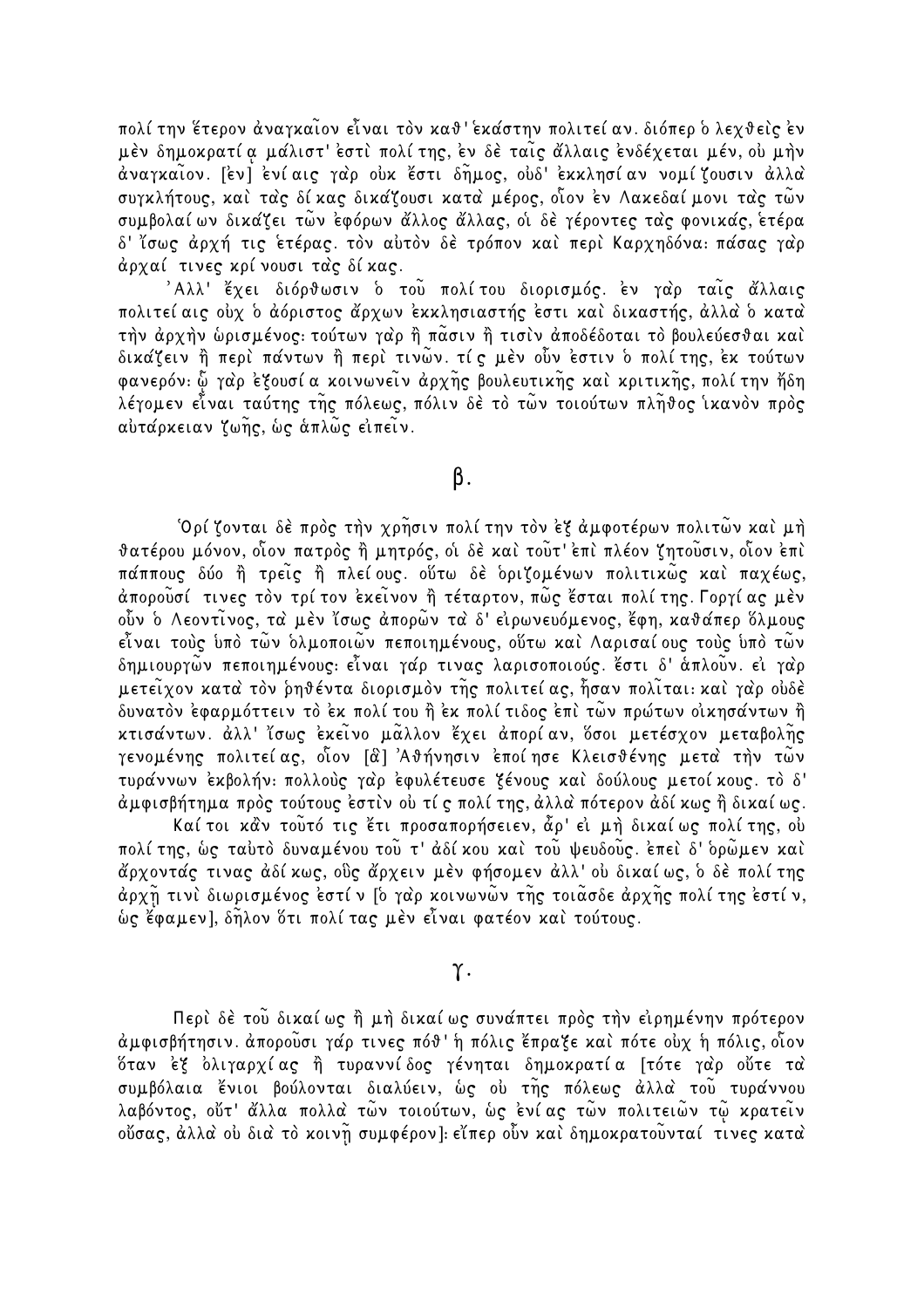πολί την έτερον άναγκαΐον είναι τον καθ' εκάστην πολιτεί αν. διόπερ ο λεχθείς έν μέν δημοκρατία μάλιστ' έστι πολίτης, έν δε ταις άλλαις ενδέχεται μέν, ού μην άναγκαίον. [εν] ενίαις γαρ ούκ έστι δήμος, ούδ' εκκλησίαν νομίζουσιν άλλα συγκλήτους, και τας δίκας δικάζουσι κατα μέρος, οΐον εν Λακεδαί μονι τας των συμβολαίων δικάζει τῶν 'εφόρων άλλος άλλας, οι δε γέροντες τας φονικάς, ετέρα δ' ίσως άρχή τις ετέρας. τον αύτον δε τρόπον και περι Καρχηδόνα: πάσας γαρ άρχαί τινες κρίνουσι τας δίκας.

'Αλλ' ἔχει διόρθωσιν ὁ τοῦ πολίτου διορισμός. ἐν γαρ ταῖς ἄλλαις πολιτεί αις ούχ ο άόριστος άρχων εκκλησιαστής εστι και δικαστής, άλλα ο κατα τήν άρχην ώρισμένος: τούτων γαρ ή πασιν ή τισιν αποδέδοται το βουλεύεσθαι και δικάζειν ή περί πάντων ή περί τινών. τίς μέν οὖν έστιν ο πολίτης, έκ τούτων φανερόν: ὧ γαρ εξουσία κοινωνείν άρχης βουλευτικης και κριτικης, πολίτην ήδη λέγομεν είναι ταύτης της πόλεως, πόλιν δε το των τοιούτων πληθος ίκανον προς αύτάρκειαν ζωης, ώς άπλως είπειν.

## β.

Όρίζονται δέ πρὸς τὴν χρῆσιν πολί την τὸν ἐξ ἀμφοτέρων πολιτῶν καὶ μὴ θατέρου μόνον, οίον πατρός ή μητρός, οι δε και τουτ'επι πλέον ζητουσιν, οίον επι πάππους δύο ή τρείς ή πλείους ούτω δε δριζομένων πολιτικώς και παχέως, άπορούσί τινες τον τρίτον εκείνον ή τέταρτον, πώς έσται πολίτης. Γοργίας μεν οὖν ο Λεοντίνος, τα μεν Ίσως απορών τα δ' ειρωνευόμενος, έφη, καθάπερ δλμους εἶναι τούς υπό τῶν δλμοποιῶν πεποιημένους, ούτω και Λαρισαί ους τούς υπό τῶν δημιουργών πεποιημένους: εἶναι γάρ τινας λαρισοποιούς. ἔστι δ' άπλοῦν. εἰ γαρ μετείχον κατα τον ρηθέντα διορισμον της πολιτεί ας, ήσαν πολιται: και γαρ ουδε δυνατόν εφαρμόττειν τὸ εκ πολί του ἢ εκ πολί τιδος επι των πρώτων οικησάντων ή κτισάντων. άλλ' ἴσως ἐκεἶνο μἆλλον ἔχει ἀπορίαν, ὅσοι μετέσχον μεταβολῆς γενομένης πολιτείας, οίον [α] Άθήνησιν εποίησε Κλεισθένης μετα την των τυράννων εκβολήν: πολλούς γαρ εφυλέτευσε ξένους και δούλους μετοίκους. το δ' άμφισβήτημα πρὸς τούτους ἐστὶν οὐ τίς πολί της, ἀλλα πότερον ἀδί κως ἢ δικαί ως.

Καίτοι κάν τούτό τις έτι προσαπορήσειεν, ἆρ' εί μή δικαί ως πολίτης, ού πολίτης, ώς ταύτό δυναμένου του τ' άδίκου και του ψευδους. επει δ' δρώμεν και άρχοντάς τινας άδί κως, ούς άρχειν μεν φήσομεν άλλ' ού δικαί ως, ο δε πολί της άρχῆ τινὶ διωρισμένος 'εστί ν [δ γαρ κοινωνῶν τῆς τοιᾶσδε ἀρχῆς πολί της 'εστί ν, ώς έφαμεν], δηλον ότι πολίτας μέν είναι φατέον και τούτους.

### $\gamma$ .

Περί δέ του δικαίως ή μη δικαίως συνάπτει πρός την ειρημένην πρότερον άμφισβήτησιν. άποροὖσι γάρ τινες πόθ' ἡ πόλις ἔπραξε καὶ πότε οὐχ ἡ πόλις, οἶον δταν έζ ολιγαρχίας ή τυραννίδος γένηται δημοκρατία [τότε γαρ ούτε τα συμβόλαια ένιοι βούλονται διαλύειν, ώς ού της πόλεως άλλα του τυράννου λαβόντος, ο τ' άλλα πολλα των τοιούτων, ως ενίας των πολιτειων τω κρατείν ούσας, άλλα ου δια το κοινη συμφέρον]: είπερ ούν και δημοκρατούνταί τινες κατα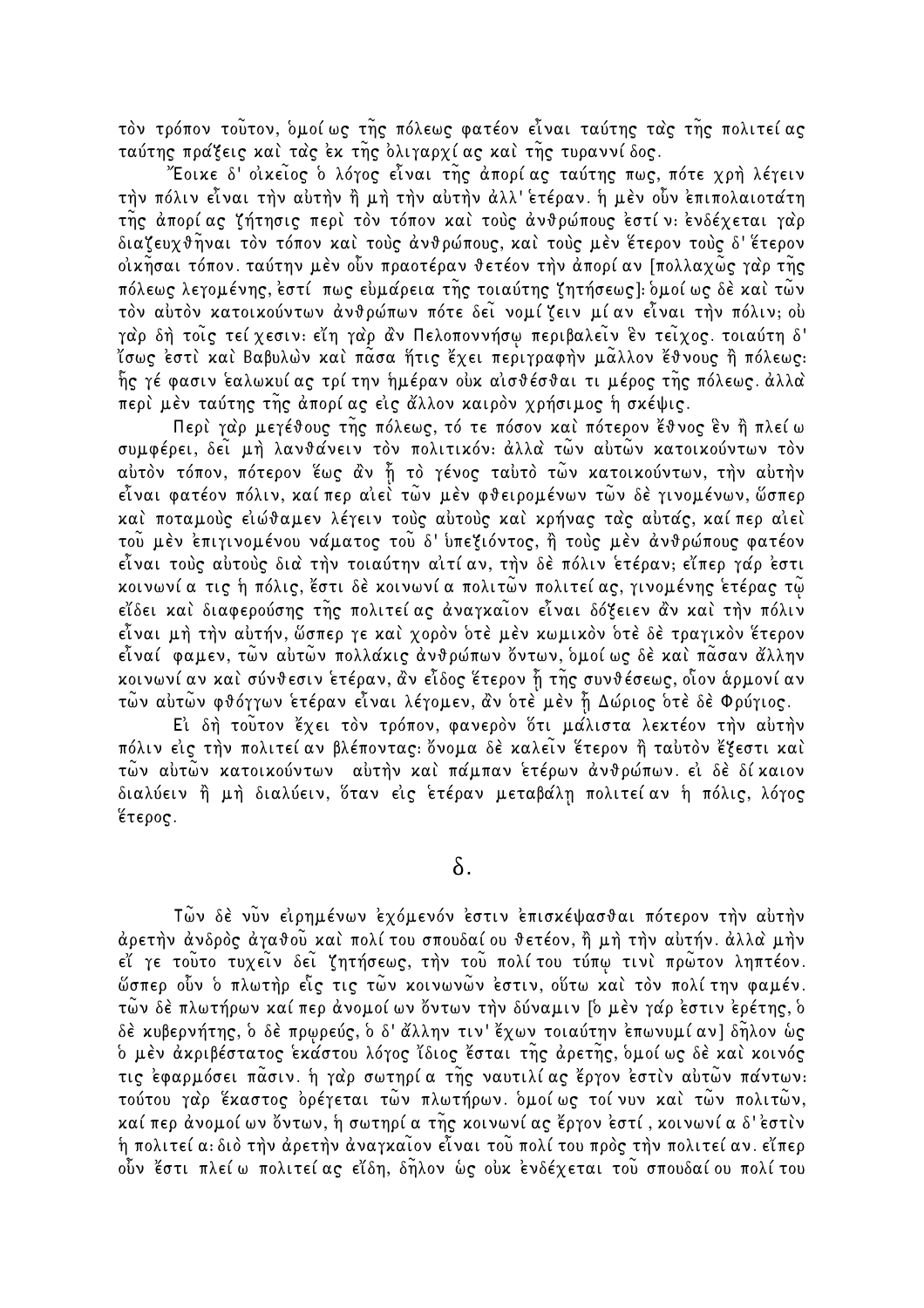τόν τρόπον τούτον, όμοί ως της πόλεως φατέον είναι ταύτης τας της πολιτεί ας ταύτης πράξεις και τας έκ της ολιγαρχίας και της τυραννίδος.

"Εοικε δ' οἰκεἶος ὁ λόγος εἶναι τῆς ἀπορίας ταύτης πως, πότε χρὴ λέγειν την πόλιν είναι την αύτην ή μη την αύτην άλλ' ετέραν. η μεν ούν επιπολαιοτάτη της άπορίας ζήτησις περί τον τόπον και τούς άνθρώπους έστίν: ενδέχεται γαρ διαζευχθηναι τον τόπον και τους άνθρώπους, και τους μεν έτερον τους δ' έτερον σικήσαι τόπον. ταύτην μέν ούν πραοτέραν θετέον την άπορί αν [πολλαχως γαρ της πόλεως λεγομένης, εστί πως ευμάρεια της τοιαύτης ζητήσεως]: δμοί ως δέ και των τὸν αὐτὸν κατοικούντων ἀνθρώπων πότε δει νομίζειν μίαν εἶναι τὴν πόλιν; οὐ γαρ δη τοις τεί χεσιν: είη γαρ αν Πελοποννήσω περιβαλειν εν τειχος. τοιαύτη δ' ἴσως ἐστὶ καὶ Βαβυλων καὶ πἆσα ἥτις ἔχει περιγραφὴν μἆλλον ἔθνους ἢ πόλεως: ἧς γέ φασιν ἑαλωκυίας τρί την ἡμέραν οὐκ αἰσθέσθαι τι μέρος τῆς πόλεως. ἀλλα` περί μέν ταύτης της άπορίας είς άλλον καιρόν χρήσιμος η σκέψις.

Περὶ γαρ μεγέθους τῆς πόλεως, τό τε πόσον καὶ πότερον έθνος ἓν ἢ πλεί ω συμφέρει, δεί μή λανθάνειν τον πολιτικόν: άλλα των αυτων κατοικούντων τον αύτον τόπον, πότερον έως άν ή το γένος ταύτο των κατοικούντων, την αύτην εἶναι φατέον πόλιν, καί περ αἰεὶ τῶν μὲν φθειρομένων τῶν δὲ γινομένων, ὥσπερ καί ποταμούς ειώθαμεν λέγειν τούς αύτούς καί κρήνας τας αύτάς, καί περ αίεί του μέν επιγινομένου ναματος του δ' υπεξιόντος, ή τους μέν ανθρώπους φατέον εἶναι τούς αύτούς δια την τοιαύτην αιτί αν, την δε πόλιν ετέραν; είπερ γάρ έστι κοινωνία τις ή πόλις, έστι δε κοινωνία πολιτών πολιτείας, γινομένης ετέρας τω είδει και διαφερούσης της πολιτείας αναγκαίον είναι δόξειεν άν και την πόλιν εἶναι μή τήν αὐτήν, ὥσπερ γε καὶ χορὸν ὁτὲ μὲν κωμικὸν ὁτὲ δὲ τραγικὸν ἕτερον εἶναί φαμεν, τῶν αὐτῶν πολλάκις ἀνθρώπων ὄντων, ὁμοί ως δὲ καὶ πᾶσαν ἄλλην κοινωνί αν και σύνθεσιν ετέραν, άν είδος έτερον ή της συνθέσεως, οίον άρμονί αν τῶν αὐτῶν φθόγγων ετέραν εἶναι λέγομεν, ἀν δτε μεν ἦ Δώριος δτε δε Φρύγιος.

Εί δη τούτον έχει τον τρόπον, φανερον ότι μάλιστα λεκτέον την αύτην πόλιν είς την πολιτεί αν βλέποντας: ὄνομα δε καλείν έτερον ή ταύτον έξεστι και τῶν αὐτῶν κατοικούντων αὐτὴν καὶ πάμπαν ετέρων ἀνθρώπων. εί δε δίκαιον διαλύειν ή μη διαλύειν, όταν είς ετέραν μεταβάλη πολιτεί αν ή πόλις, λόγος έτερος.

δ.

Τῶν δὲ νῦν εἰρημένων 'εχόμενόν 'εστιν 'επισκέψασθαι πότερον τὴν αὐτὴν άρετήν άνδρὸς άγαθοῦ καὶ πολί του σπουδαί ου θετέον, ἢ μὴ τὴν αὐτήν. ἀλλα μὴν εζ γε τοῦτο τυχεἶν δεἶ ζητήσεως, τὴν τοῦ πολίτου τύπω τινὶ πρῶτον ληπτέον. ὥσπερ οὖν ὁ πλωτὴρ εἶς τις τῶν κοινωνῶν ἐστιν, οὕτω καὶ τὸν πολίτην φαμέν. τῶν δὲ πλωτήρων καί περ ἀνομοί ων ὄντων τὴν δύναμιν [ὁ μὲν γαρ ἐστιν ἐρέτης, ὁ δέ κυβερνήτης, ο δέ πρωρεύς, ο δ' άλλην τιν' έχων τοιαύτην επωνυμί αν] δηλον ως δ μεν άκριβέστατος εκάστου λόγος Ίδιος έσται της άρετης, δμοί ως δε και κοινός τις εφαρμόσει πάσιν. ή γαρ σωτηρία της ναυτιλίας έργον εστιν αυτών πάντων: τούτου γαρ έκαστος ορέγεται των πλωτήρων. δμοίως τοίνυν και των πολιτων, καί περ άνομοί ων όντων, ή σωτηρί α της κοινωνί ας έργον εστί, κοινωνί α δ'εστιν ή πολιτεί α: διὸ τὴν ἀρετὴν ἀναγκαῖον εἶναι τοῦ πολί του πρὸς τὴν πολιτεί αν. εἴπερ ούν έστι πλείω πολιτείας είδη, δηλον ώς ούκ ενδέχεται του σπουδαίου πολίτου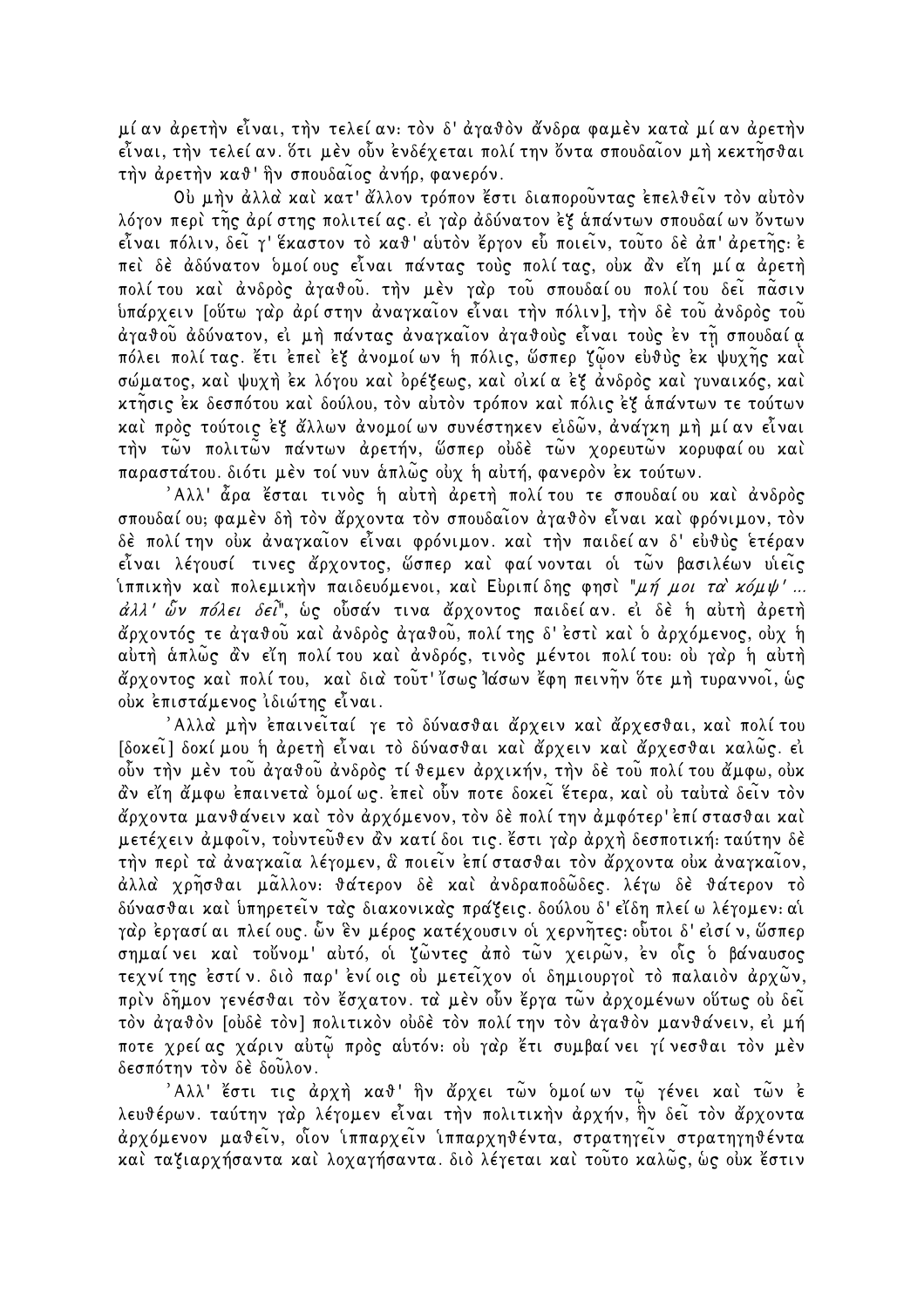μίαν άρετην είναι, την τελείαν: τον δ' άγαθον άνδρα φαμεν κατα μίαν άρετην εἶναι, την τελεί αν. ὅτι μέν οὖν 'ενδέχεται πολί την ὄντα σπουδαῖον μη κεκτησθαι την άρετην καθ' ήν σπουδαίος άνήρ, φανερόν.

Ού μήν άλλα και κατ' άλλον τρόπον έστι διαπορούντας επελθείν τον αύτον λόγον περί της άρί στης πολιτεί ας. εί γαρ άδύνατον εξ απάντων σπουδαί ων όντων εἶναι πόλιν, δεἶ γ' ἕκαστον τὸ καθ' αυτὸν ἔργον εὗ ποιεἶν, τοῦτο δε ἀπ' ἀρετῆς: ε πεί δέ άδύνατον δμοίους είναι πάντας τούς πολίτας, ούκ άν είη μία άρετή πολίτου και άνδρος άγαθού. την μέν γαρ του σπουδαίου πολίτου δεί πασιν υπάρχειν [ούτω γαρ αρίστην αναγκαίον είναι την πόλιν], την δε του ανδρος του άγαθού άδύνατον, εί μή πάντας άναγκαίον άγαθούς είναι τούς εν τη σπουδαία πόλει πολίτας. έτι επει εξ ανομοίων η πόλις, ώσπερ ζώον ευθυς εκ ψυχης και σώματος, και ψυχή έκ λόγου και ορέξεως, και οικία εξ ανδρος και γυναικός, και κτήσις έκ δεσπότου και δούλου, τον αυτον τρόπον και πόλις εξ απάντων τε τούτων και πρός τούτοις εξ άλλων ανομοί ων συνέστηκεν ειδών, ανάγκη μη μίαν είναι τὴν τῶν πολιτῶν πάντων ἀρετήν, ὥσπερ οὐδὲ τῶν χορευτῶν κορυφαίου καὶ παραστάτου. διότι μέν τοί νυν άπλώς ούχ ή αύτή, φανερόν έκ τούτων.

'Αλλ' ἆρα ἔσται τινὸς ἡ αὐτὴ ἀρετὴ πολίτου τε σπουδαίου καὶ ἀνδρὸς σπουδαί ου; φαμέν δή τον άρχοντα τον σπουδαίον αγαθον είναι και φρόνιμον, τον δέ πολίτην ούκ άναγκαΐον εἶναι φρόνιμον, καὶ τὴν παιδείαν δ' εὐθὺς ετέραν εἶναι λέγουσί τινες ἄρχοντος, ὥσπερ καὶ φαίνονται οἱ τῶν βασιλέων υἱεἶς ίππικήν καὶ πολεμικήν παιδευόμενοι, καὶ Εὐριπίδης φησὶ "μή μοι τα' κόμψ' ... αλλ' ών πόλει δεί", ως ούσαν τινα άρχοντος παιδείαν. εί δε ή αύτη άρετή άρχοντός τε άγαθού και άνδρος άγαθού, πολίτης δ' έστι και ο άρχόμενος, ούχ ή αύτη άπλώς άν είη πολίτου και άνδρός, τινός μέντοι πολίτου: ού γαρ ή αύτη άρχοντος καὶ πολίτου, καὶ δια τοῦτ' ἴσως Ἰάσων ἔφη πεινῆν ὅτε μὴ τυραννοἶ, ὡς ούκ επιστάμενος ιδιώτης είναι.

'Αλλα` μήν ἐπαινεἶταί γε τὸ δύνασθαι ἄρχειν καὶ ἄρχεσθαι, καὶ πολίτου [δοκεἶ] δοκί μου ἡ ἀρετὴ εἶναι τὸ δύνασθαι καὶ ἄρχειν καὶ ἄρχεσθαι καλῶς. εἰ οὖν τὴν μὲν τοῦ ἀγαθοῦ ἀνδρὸς τί θεμεν ἀρχικήν, τὴν δὲ τοῦ πολί του ἄμφω, οὐκ αν εἴη άμφω ἐπαινετα δμοί ως. ἐπεὶ οὗν ποτε δοχεἶ ἕτερα, χαὶ οὐ ταὐτα δεἶν τὸν άρχοντα μανθάνειν και τον άρχόμενον, τον δε πολί την αμφότερ' επί στασθαι και μετέχειν άμφοιν, τούντευθεν άν κατί δοι τις. έστι γαρ άρχη δεσποτική: ταύτην δε τήν περί τα άναγκαια λέγομεν, α ποιείν επί στασθαι τον άρχοντα ούκ αναγκαιον, άλλα χρησθαι μαλλον: θάτερον δε και άνδραποδωδες. λέγω δε θάτερον το δύνασθαι και υπηρετείν τας διακονικας πράξεις. δούλου δ' είδη πλεί ω λέγομεν: αι γαρ εργασίαι πλεί ους. ὧν εν μέρος κατέχουσιν οί χερνῆτες: οὗτοι δ' εἰσίν, ὥσπερ σημαίνει και τούνομ' αυτό, οι ζώντες άπο των χειρών, έν οις ο βάναυσος τεχνίτης έστίν. διό παρ' ένίοις ου μετείχον οι δημιουργοί το παλαιον άρχων, πριν δημον γενέσθαι τον έσχατον. τα μεν ούν έργα των άρχομένων ούτως ου δει τον άγαθον [ούδε τον] πολιτικον ούδε τον πολί την τον άγαθον μανθάνειν, ει μή ποτε χρείας χάριν αύτώ πρός αυτόν: ού γαρ έτι συμβαίνει γίνεσθαι τον μέν δεσπότην τον δε δούλον.

'Αλλ' ἔστι τις ἀρχὴ καθ' ἣν ἄρχει τῶν ὁμοίων τῷ γένει καὶ τῶν ἐ λευθέρων. ταύτην γαρ λέγομεν εἶναι την πολιτικην αρχήν, ἡν δεἶ τον ἄρχοντα άρχόμενον μαθείν, οΐον ίππαρχείν ίππαρχηθέντα, στρατηγείν στρατηγηθέντα και ταξιαρχήσαντα και λοχαγήσαντα. διο λέγεται και τουτο καλώς, ως ουκ έστιν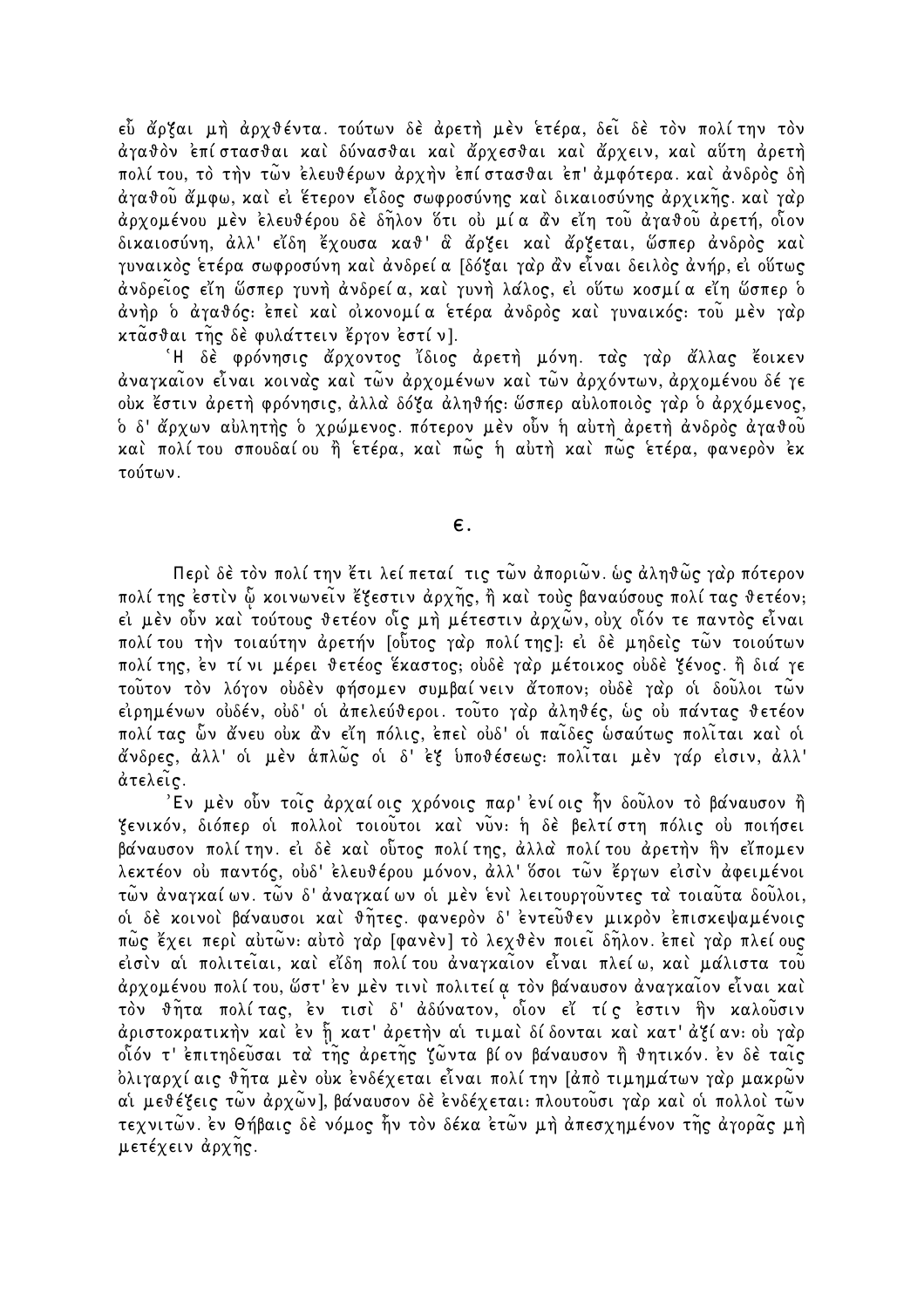εὖ ἄρζαι μὴ ἀρχθέντα, τούτων δὲ ἀρετὴ μὲν ἑτέρα, δεἶ δὲ τὸν πολίτην τὸν άγαθόν 'επίστασθαι καὶ δύνασθαι καὶ ἄρχεσθαι καὶ ἄρχειν, καὶ αὕτη ἀρετὴ πολίτου, τὸ τὴν τῶν ἐλευθέρων ἀρχὴν ἐπίστασθαι ἐπ' ἀμφότερα. καὶ ἀνδρὸς δὴ άγαθοῦ ἄμφω, καὶ εἰ ἕτερον εἶδος σωφροσύνης καὶ δικαιοσύνης ἀρχικῆς καὶ γαρ άρχομένου μέν ελευθέρου δε δήλον ότι ού μία άν είη του άγαθου άρετή, οίον δικαιοσύνη, άλλ' είδη έχουσα καθ' α άρξει και άρξεται, ώσπερ άνδρος και γυναικός ετέρα σωφροσύνη και άνδρεί α [δόξαι γαρ άν είναι δειλός άνήρ, ει ούτως άνδρείος είη ὥσπερ γυνή άνδρεία, και γυνή λάλος, ει ούτω κοσμία είη ὥσπερ δ άνηρ ο άγαθός: επεί και σικονομία ετέρα άνδρος και γυναικός: του μεν γαρ κτάσθαι της δέ φυλάττειν έργον έστίν].

'Η δέ φρόνησις άρχοντος Ίδιος άρετή μόνη. τας γαρ άλλας έοικεν άναγκαιον είναι κοινας και τῶν ἀρχομένων και τῶν ἀρχόντων, ἀρχομένου δέ γε ούκ έστιν άρετή φρόνησις, άλλα δόξα άληθής: ώσπερ αύλοποιός γαρ ο άρχόμενος, δ δ' άρχων αύλητής δ χρώμενος. πότερον μεν ούν ή αύτή άρετή άνδρος άγαθού και πολίτου σπουδαίου ή ετέρα, και πως ή αυτή και πως ετέρα, φανερον εκ τούτων.

 $\epsilon$ .

Περί δέ τον πολί την έτι λεί πεταί τις των άποριων. ώς άληθως γαρ πότερον πολί της έστιν ὧ κοινωνείν έξεστιν άρχης, ή και τους βαναύσους πολί τας θετέον; εί μέν ούν και τούτους θετέον οίς μή μέτεστιν άρχων, ούχ οίόν τε παντός είναι πολίτου την τοιαύτην άρετήν [ούτος γαρ πολίτης]: εί δε μηδείς των τοιούτων πολίτης, έν τίνι μέρει θετέος έκαστος; ούδε γαρ μέτοικος ούδε ξένος. ή διά γε τοῦτον τὸν λόγον οὐδὲν φήσομεν συμβαίνειν ἄτοπον; οὐδὲ γαρ οἱ δοῦλοι τῶν ειρημένων ουδέν, ουδ' οι άπελεύθεροι. τουτο γαρ άληθές, ως ου πάντας θετέον πολίτας ὧν άνευ ούκ ἀν εἴη πόλις, ἐπεὶ οὐδ' οἱ παἶδες ὡσαύτως πολῖται καὶ οἱ άνδρες, άλλ' οί μέν άπλώς οί δ' έξ υποθέσεως: πολίται μέν γάρ είσιν, άλλ' άτελείς.

'Εν μὲν οὗν τοις ἀρχαίοις χρόνοις παρ' ἐνίοις ἦν δουλον τὸ βάναυσον ἢ ξενικόν, διόπερ οι πολλοι τοιούτοι και νύν: ή δε βελτίστη πόλις ου ποιήσει βάναυσον πολίτην. εί δέ και ούτος πολίτης, άλλα πολίτου άρετην ην είπομεν λεκτέον ού παντός, ούδ' ελευθέρου μόνον, άλλ' δσοι των έργων είσιν άφειμένοι τῶν ἀναγκαί ων. τῶν δ' ἀναγκαί ων οί μεν ενι λειτουργοῦντες τα τοιαῦτα δοῦλοι, οί δε κοινοί βαναυσοι καί θητες. φανερόν δ' εντεύθεν μικρόν επισκεψαμένοις πῶς ἔχει περὶ αὐτῶν: αὐτὸ γαρ [φανὲν] τὸ λεχθὲν ποιεἶ δῆλον. ἐπεὶ γαρ πλεί ους εἰσὶν αἱ πολιτεἶαι, καὶ εἴδη πολίτου ἀναγκαἶον εἶναι πλείω, καὶ μάλιστα τοῦ άρχομένου πολί του, ὥστ' έν μέν τινι πολιτεί α τον βάναυσον άναγκαι ον εἶναι και τὸν θητα πολίτας, εν τισὶ δ' ἀδύνατον, οἶον εἴ τίς εστιν ἡν καλουσιν άριστοκρατικήν και έν ή κατ' άρετήν αι τιμαι δίδονται και κατ' άξίαν: ού γαρ οίόν τ' επιτηδεύσαι τα της άρετης ζώντα βίον βαναυσον ή θητικόν. εν δε ταίς όλιγαρχίαις θητα μέν ούκ ένδέχεται εἶναι πολίτην [άπὸ τιμημάτων γαρ μακρῶν αι μεθέζεις τῶν ἀρχῶν], βαναυσον δὲ ἐνδέχεται: πλουτοῦσι γαρ και οι πολλοι τῶν τεχνιτῶν. ἐν Θήβαις δὲ νόμος ἦν τὸν δέκα ἐτῶν μὴ ἀπεσχημένον τῆς ἀγορᾶς μὴ μετέχειν άρχης.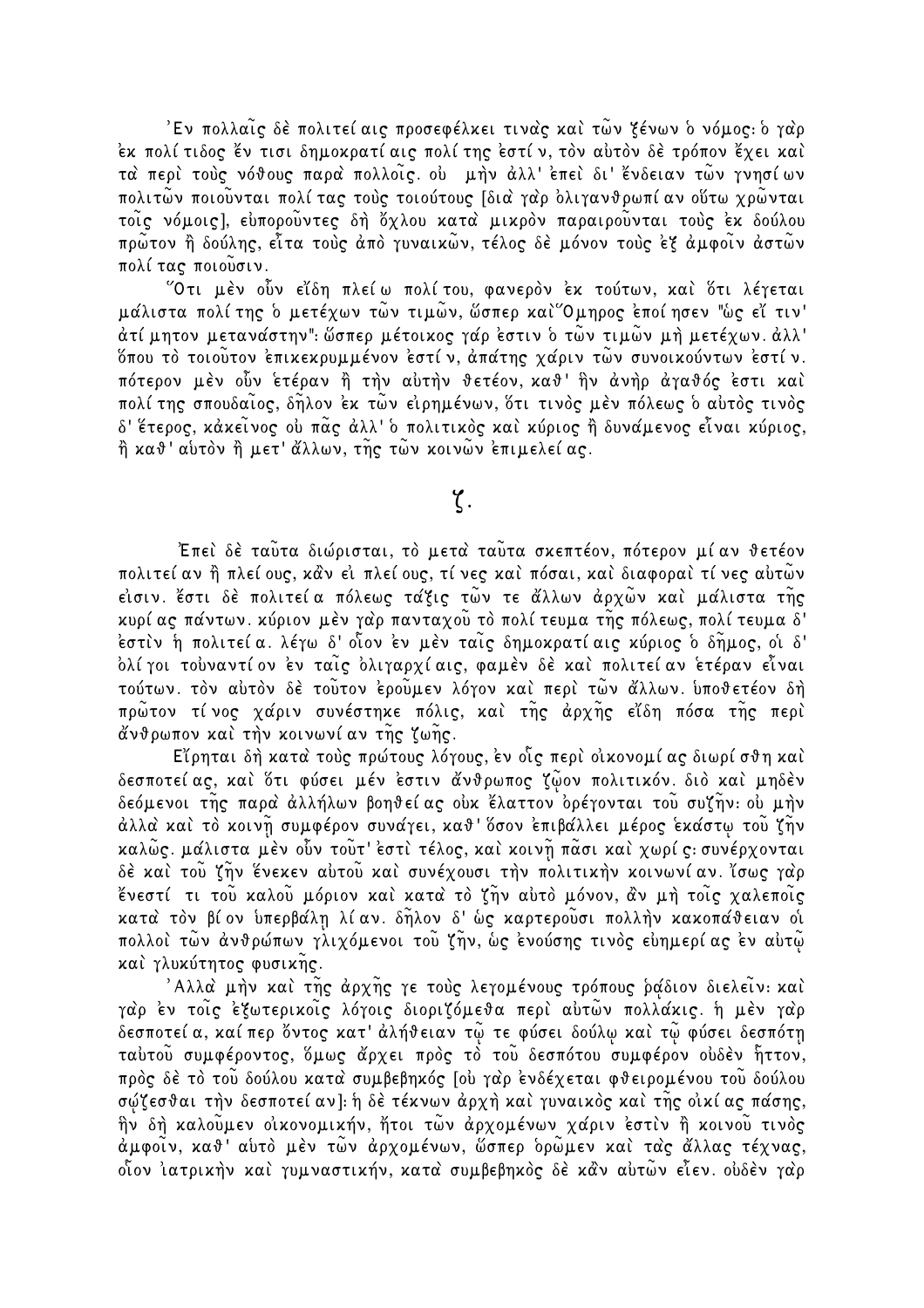'Εν πολλαῖς δὲ πολιτεί αις προσεφέλκει τινας καὶ τὧν ξένων ὁ νόμος: ὁ γαρ έκ πολίτιδος έν τισι δημοκρατί αις πολίτης έστίν, τον αύτον δε τρόπον έχει και τα περί τούς νόθους παρα πολλοΐς ού μήν άλλ' επεί δι' ένδειαν των γνησίων πολιτών ποιούνται πολί τας τούς τοιούτους [δια γαρ ολιγανθρωπί αν ούτω χρώνται τοις νόμοις], ευπορούντες δη όχλου κατα μικρον παραιρούνται τους έκ δούλου πρώτον ή δούλης, είτα τούς άπό γυναικών, τέλος δε μόνον τούς εξ άμφοιν άστών πολίτας ποιούσιν.

Ότι μέν οὖν εἴδη πλείω πολίτου, φανερὸν ἐκ τούτων, καὶ ὅτι λέγεται μαλιστα πολίτης ο μετέχων των τιμών, ὥσπερ καὶ Όμηρος ἐποί ησεν "ὡς εἴ τιν' άτί μητον μετανάστην": ὥσπερ μέτοικος γάρ 'εστιν δ τῶν τιμῶν μὴ μετέχων. ἀλλ' δπου τὸ τοιούτον ἐπικεκρυμμένον ἐστίν, ἀπάτης χάριν τῶν συνοικούντων ἐστίν. πότερον μέν οὖν ετέραν ἢ την αὐτην θετέον, καθ' ἣν άνηρ άγαθός 'εστι και' πολίτης σπουδαΐος, δηλον έκ των είρημένων, ότι τινός μέν πόλεως ο αυτός τινός δ' έτερος, κάκεινος ου πας άλλ' ο πολιτικός και κύριος ή δυναμενος είναι κύριος, ή καθ' αύτον ή μετ' άλλων, της τῶν κοινῶν 'επιμελεί ας.

 $\zeta$ .

Έπεὶ δὲ ταῦτα διώρισται, τὸ μετα ταῦτα σχεπτέον, πότερον μίαν θετέον πολιτεί αν ή πλεί ους, κάν ει πλεί ους, τί νες και πόσαι, και διαφοραι τί νες αυτών είσιν. ἔστι δὲ πολιτεία πόλεως ταξις τὦν τε ἄλλων ἀρχὦν καὶ μαλιστα τῆς κυρί ας πάντων. κύριον μέν γαρ πανταχού το πολί τευμα της πόλεως, πολί τευμα δ' έστὶν ἡ πολιτεία. λέγω δ' οἶον 'εν μεν ταις δημοκρατίαις κύριος ὁ δημος, οἱ δ' όλίγοι τούναντίον έν ταις όλιγαρχίαις, φαμέν δέ και πολιτείαν ετέραν είναι τούτων. τον αυτον δε τούτον ερούμεν λόγον και περι των άλλων. υποθετέον δη πρώτον τίνος χαριν συνέστηκε πόλις, και της αρχης είδη πόσα της περι άνθρωπον και την κοινωνίαν της ζωής.

Είρηται δή κατα τούς πρώτους λόγους, έν οίς περί οικονομί ας διωρί σθη καί δεσποτείας, και ότι φύσει μέν εστιν άνθρωπος ζώον πολιτικόν. διο και μηδεν δεόμενοι της παρα αλλήλων βοηθείας ούκ έλαττον ορέγονται του συζην: ού μην άλλα και το κοινη συμφέρον συνάγει, καθ' δσον επιβάλλει μέρος εκάστω του ζην καλώς. μάλιστα μέν ούν τουτ' έστι τέλος, και κοινη πάσι και χωρίς: συνέρχονται δέ και του ζην ένεκεν αυτου και συνέχουσι την πολιτικην κοινωνίαν. Ίσως γαρ ένεστί τι τοῦ καλοῦ μόριον καὶ κατα τὸ ζῆν αὐτὸ μόνον, ἀν μὴ τοἶς χαλεποἶς κατα τον βίον υπερβάλη λίαν. δήλον δ' ώς καρτερούσι πολλήν κακοπάθειαν οι πολλοί τῶν ἀνθρώπων γλιχόμενοι τοῦ ζῆν, ὡς ἐνούσης τινὸς εὐημερίας ἐν αὐτῷ και γλυκύτητος φυσικής.

'Αλλα μήν καὶ τῆς ἀρχῆς γε τοὺς λεγομένους τρόπους ῥαδιον διελεἶν: καὶ γαρ εν τοις εξωτερικοις λόγοις διοριζόμεθα περι αυτών πολλάκις. ή μεν γαρ δεσποτεία, καί περ ὄντος κατ' άλήθειαν τῷ τε φύσει δούλῳ καὶ τῷ φύσει δεσπότη ταύτού συμφέροντος, δμως άρχει πρός το τού δεσπότου συμφέρον ούδεν ήττον, πρός δε το του δούλου κατα συμβεβηκός [ού γαρ ενδέχεται φθειρομένου του δούλου σώζεσθαι την δεσποτεί αν : ή δε τέκνων άρχη και γυναικός και της σικί ας πάσης, ην δη καλούμεν οικονομικήν, ήτοι των άρχομένων χαριν εστιν ή κοινού τινος άμφοιν, καθ' αύτο μεν των άρχομένων, ώσπερ δρώμεν και τας άλλας τέχνας, οΐον ιατρικήν και γυμναστικήν, κατα συμβεβηκός δε κάν αυτών είεν. ουδεν γαρ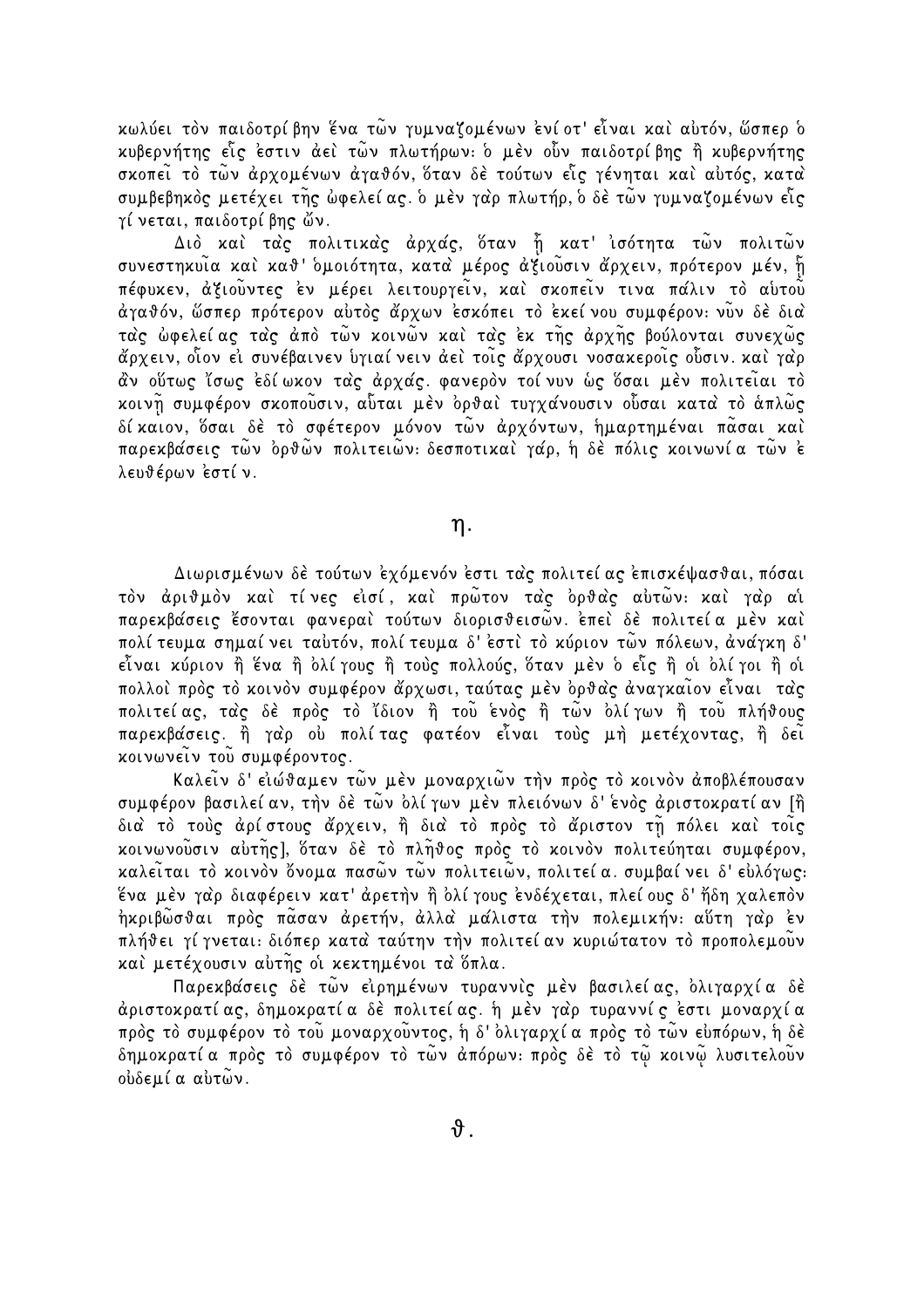κωλύει τον παιδοτρί βην ένα τῶν γυμναζομένων ενί οτ' εἶναι και αὐτόν, ὥσπερ δ κυβερνήτης είς έστιν άει των πλωτήρων: ο μεν ούν παιδοτρίβης ή κυβερνήτης σκοπεί το των αρχομένων αγαθόν, όταν δε τούτων είς γένηται και αυτός, κατα συμβεβηκός μετέχει της ώφελεί ας. δ μέν γαρ πλωτήρ, δ δε των γυμναζομένων είς γίνεται, παιδοτρί βης ών.

Διό και τας πολιτικας άρχας, όταν ή κατ' ισότητα των πολιτων συνεστηκυία και καθ' δμοιότητα, κατα μέρος αξιούσιν άρχειν, πρότερον μέν, ή πέφυκεν, άζιούντες 'εν μέρει λειτουργείν, και σκοπείν τινα πάλιν το αυτού άγαθόν, ώσπερ πρότερον αύτος άρχων εσκόπει το εκείνου συμφέρον: νύν δε δια τας ώφελείας τας άπο των κοινων και τας έκ της αρχης βούλονται συνεχως άρχειν, οίον ει συνέβαινεν υγιαί νειν αει τοις άρχουσι νοσακεροις ούσιν. και γαρ άν ούτως ἴσως ἐδί ωκον τας ἀρχας. φανερον τοί νυν ως ὅσαι μεν πολιτεῖαι το κοινη συμφέρον σκοπούσιν, αύται μέν ορθαί τυγχάνουσιν ούσαι κατα το άπλώς δίκαιον, όσαι δέ το σφέτερον μόνον των αρχόντων, ημαρτημέναι πασαι και παρεκβάσεις των ορθών πολιτειών: δεσποτικαί γάρ, ή δέ πόλις κοινωνία των ε λευθέρων 'εστίν.

η.

Διωρισμένων δέ τούτων 'εχόμενόν 'εστι τα'ς πολιτεί ας 'επισκέψασθαι, πόσαι τον αριθμον και τίνες εισί, και πρώτον τας ορθας αυτών: και γαρ αι παρεκβάσεις έσονται φανεραί τούτων διορισθεισών. επεί δε πολιτεία μέν καί πολίτευμα σημαίνει ταύτόν, πολίτευμα δ'εστι το κύριον των πόλεων, ανάγκη δ' εἶναι κύριον ἢ ἕνα ἢ ὀλίγους ἢ τοὺς πολλούς, ὅταν μὲν ὁ εἶς ἢ οἱ ὀλίγοι ἢ οἱ πολλοί πρός τό κοινόν συμφέρον άρχωσι, ταύτας μέν όρθας άναγκαιον είναι τας πολιτείας, τας δέ πρός το Ίδιον ή του ένος ή των ολίγων ή του πλήθους παρεκβάσεις. ἢ γαρ ου πολίτας φατέον εἶναι τους μη μετέχοντας, ἢ δει κοινωνείν του συμφέροντος.

Καλείν δ' ειώθαμεν τῶν μεν μοναρχιῶν την προς το κοινον αποβλέπουσαν συμφέρον βασιλεί αν, την δε των ολίγων μεν πλειόνων δ' ενος αριστοκρατί αν [ή δια το τούς άρίστους άρχειν, ή δια το πρός το άριστον τη πόλει και τοίς κοινωνούσιν αύτης], όταν δέ το πληθος προς το κοινον πολιτεύηται συμφέρον, καλείται το κοινον όνομα πασών των πολιτειών, πολιτεία. συμβαίνει δ' ευλόγως: ένα μέν γαρ διαφέρειν κατ' άρετην ή ολίγους ενδέχεται, πλεί ους δ' ήδη χαλεπον ήκριβώσθαι πρός πάσαν άρετήν, άλλα μάλιστα την πολεμικήν: αύτη γαρ έν πλήθει γίγνεται: διόπερ κατα ταύτην την πολιτεί αν κυριώτατον το προπολεμούν καί μετέχουσιν αύτης οι κεκτημένοι τα δπλα.

Παρεκβάσεις δέ των ειρημένων τυραννίς μέν βασιλείας, ολιγαρχία δέ άριστοκρατίας, δημοκρατία δέ πολιτείας. ή μέν γαρ τυραννίς έστι μοναρχία πρός το συμφέρον το του μοναρχούντος, ή δ' όλιγαρχία πρός το τών ευπόρων, ή δέ δημοκρατία πρὸς τὸ συμφέρον τὸ τῶν ἀπόρων: πρὸς δὲ τὸ τῷ κοινῷ λυσιτελοῦν ούδεμία αυτών.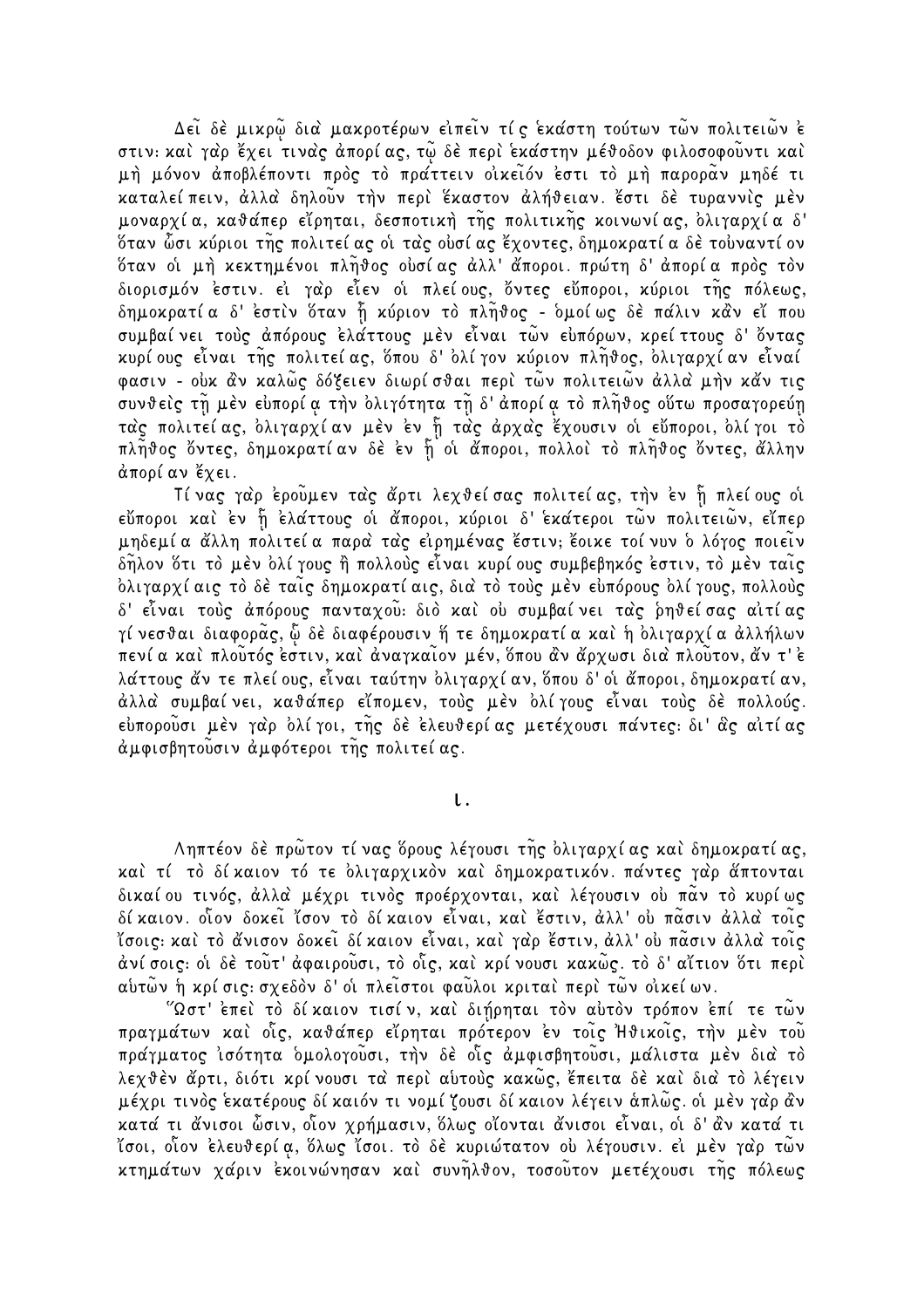Δεῖ δὲ μικρῶ δια μακροτέρων εἰπεῖν τίς ἑκαστη τούτων τῶν πολιτειῶν ἐ στιν: και γαρ έγει τινας άπορίας, τω δε περι εκάστην μέθοδον φιλοσοφούντι και μή μόνον αποβλέποντι πρός το πραττειν οικειόν εστι το μή παροραν μηδέ τι καταλεί πειν, άλλα δηλούν την περί έκαστον άλήθειαν. έστι δέ τυραννίς μέν μοναρχία, καθάπερ εἴρηται, δεσποτική της πολιτικης κοινωνίας, ολιγαρχία δ' δταν ὦσι κύριοι της πολιτεί ας οί τας ούσί ας έχοντες, δημοκρατί α δέ τούναντί ον δταν οί μή κεκτημένοι πληθος ούσίας άλλ' άποροι πρώτη δ' άπορία πρός τον διορισμόν έστιν. εί γαρ είεν οι πλείους, όντες εύποροι, κύριοι της πόλεως, δημοκρατία δ' εστιν όταν ή κύριον το πληθος - όμοίως δε πάλιν κάν εί που συμβαίνει τούς άπόρους ελάττους μέν εἶναι των ευπόρων, κρείττους δ' ὄντας κυρίους είναι της πολιτείας, όπου δ' όλίγον κύριον πληθος, όλιγαρχίαν είναί φασιν - ούκ άν καλώς δόξειεν διωρίσθαι περί των πολιτειών άλλα μήν κάν τις συνθείς τη μέν εύπορία την ολιγότητα τη δ' άπορία το πληθος ούτω προσαγορεύη τας πολιτείας, ολιγαρχίαν μεν εν ή τας άρχας έχουσιν οι εύποροι, ολίγοι το πληθος ὄντες, δημοκρατίαν δε εν ή οι άποροι, πολλοι το πληθος ὄντες, άλλην άπορί αν έγει.

Τίνας γαρ ερούμεν τας άρτι λεχθείσας πολιτείας, την εν ή πλείους οί εΰποροι καὶ 'εν ἡ 'ελάττους οί άποροι, κύριοι δ' εκάτεροι τῶν πολιτειῶν, εἴπερ μηδεμία άλλη πολιτεία παρα τας ειρημένας έστιν; έοικε τοί νυν ο λόγος ποιείν δηλον ότι το μέν ολίγους ή πολλούς είναι κυρίους συμβεβηκός εστιν, το μέν ταις όλιγαρχί αις τό δέ ταις δημοκρατί αις, δια τό τούς μέν εύπόρους όλίγους, πολλούς δ' είναι τούς άπόρους πανταχού: διό καί ού συμβαίνει τας ρηθείσας αιτίας γίνεσθαι διαφοράς, ὧ δε διαφέρουσιν ή τε δημοκρατία και η ολιγαρχία αλλήλων πενία και πλούτός έστιν, και άναγκαίον μέν, όπου άν άρχωσι δια πλούτον, άν τ'ε λάττους άν τε πλεί ους, εἶναι ταύτην ολιγαρχίαν, δπου δ' οι άποροι, δημοκρατίαν, άλλα συμβαίνει, καθάπερ είπομεν, τούς μέν ολίγους είναι τούς δέ πολλούς. εύπορούσι μέν γαρ όλίγοι, της δέ έλευθερίας μετέχουσι πάντες: δι' ας αιτίας άμφισβητούσιν άμφότεροι της πολιτεί ας.

 $\iota$ .

Ληπτέον δε πρώτον τίνας δρους λέγουσι της ολιγαρχίας και δημοκρατίας, και τί το δίκαιον τό τε ολιγαρχικόν και δημοκρατικόν. πάντες γαρ άπτονται δικαί ου τινός, άλλα μέχρι τινός προέρχονται, και λέγουσιν ου παν το κυρίως δί καιον. οίον δοκεί Ίσον το δί καιον είναι, και έστιν, άλλ' ου πασιν άλλα τοις ζσοις: καὶ τὸ ἄνισον δοκεῖ δί καιον εἶναι, καὶ γαρ ἔστιν, ἀλλ' οὐ πᾶσιν ἀλλα τοῖς άνίσοις: οί δέ τοῦτ' ἀφαιροῦσι, τὸ οἷς, καὶ κρίνουσι κακὦς. τὸ δ' αἴτιον ὅτι περὶ αυτών η κρίσις: σχεδόν δ' οί πλεΐστοι φαΰλοι κριταί περί τὦν οίκεί ων.

<sup>ν</sup>Ωστ' ἐπεὶ τὸ δίχαιον τισίν, χαὶ διήρηται τὸν αὐτὸν τρόπον ἐπί τε τῶν πραγμάτων και οίς, καθάπερ είρηται πρότερον εν τοις Ήθικοις, την μεν του πράγματος ισότητα δμολογούσι, την δε οίς αμφισβητούσι, μάλιστα μεν δια το λεχθέν άρτι, διότι κρί νουσι τα περί αύτους κακώς, έπειτα δε και δια το λέγειν μέγρι τινός έκατέρους δίκαιόν τι νομί ζουσι δίκαιον λέγειν άπλως, οί μέν γαρ άν κατά τι άνισοι ὦσιν, οἷον χρήμασιν, δλως οἴονται άνισοι εἶναι, οἱ δ' ἀν κατά τι ἴσοι, οἷον ἐλευθερία, ὅλως ἴσοι. τὸ δὲ κυριώτατον οὐ λέγουσιν. εἰ μὲν γαρ τῶν κτημάτων χάριν εκοινώνησαν και συνηλθον, τοσούτον μετέχουσι της πόλεως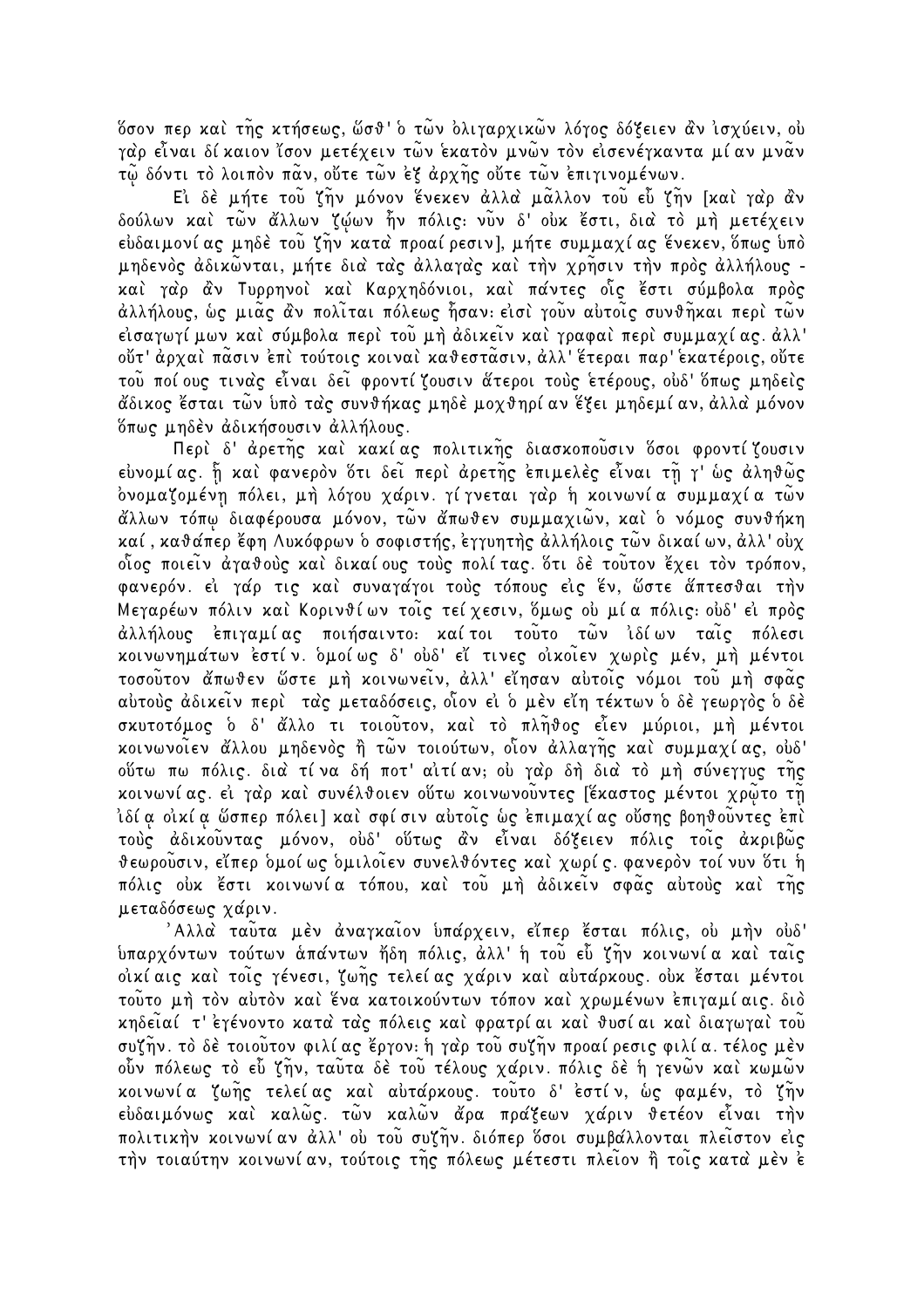δσον περ και της κτήσεως, ώσθ' ο των ολιγαρχικων λόγος δόξειεν αν ισχύειν, ου γαρ εἶναι δί καιον ἴσον μετέχειν τῶν ἑκατὸν μνῶν τὸν εἰσενέγκαντα μί αν μνᾶν τῷ δόντι τὸ λοιπὸν πᾶν, οὔτε τῶν ἐξ ἀρχῆς οὔτε τῶν ἐπιγινομένων.

Ε'ι δε μήτε του ζην μόνον ένεκεν άλλα μαλλον του εύ ζην [και γαρ άν δούλων καὶ τῶν ἄλλων ζώων ἦν πόλις: νῦν δ' οὐκ ἔστι, δια τὸ μὴ μετέχειν εύδαιμονίας μηδέ του ζην κατα προαίρεσιν], μήτε συμμαχίας ένεκεν, όπως υπό μηδενός άδικώνται, μήτε δια τας άλλαγας και την χρήσιν την πρός άλλήλους καί γαρ άν Τυρρηνοί και Καρχηδόνιοι, και πάντες οις έστι σύμβολα πρός άλλήλους, ώς μιας άν πολιται πόλεως ἦσαν: είσι γουν αυτοις συνθηκαι περι των εισαγωγί μων καὶ σύμβολα περὶ τοῦ μὴ ἀδικεἶν καὶ γραφαὶ περὶ συμμαγίας, ἀλλ' ούτ' άρχαι πασιν επι τούτοις κοιναι καθεστασιν, άλλ' έτεραι παρ' εκατέροις, ούτε του ποίους τινας είναι δει φροντίζουσιν άτεροι τους ετέρους, ουδ' όπως μηδείς άδικος έσται τῶν ὑπὸ τας συνθήκας μηδέ μοχθηρί αν έξει μηδεμί αν, άλλα μόνον δπως μηδέν άδικήσουσιν άλλήλους.

Περί δ' άρετης και κακίας πολιτικής διασκοπούσιν δσοι φροντίζουσιν εύνομίας. η και φανερον ότι δει περι αρετης επιμελες είναι τη γ' ώς αληθώς δνομαζομένη πόλει, μή λόγου χαριν. γίγνεται γαρ ή κοινωνία συμμαχία τῶν άλλων τόπω διαφέρουσα μόνον, τῶν ἄπωθεν συμμαχιῶν, καὶ ὁ νόμος συνθήκη καί, καθάπερ έφη Λυκόφρων δ σοφιστής, εγγυητής άλλήλοις τῶν δικαί ων, άλλ' οὐχ οίος ποιείν άγαθούς και δικαί ους τούς πολίτας. ότι δε τούτον έχει τον τρόπον, φανερόν. εί γάρ τις και συναγάγοι τους τόπους είς έν, ώστε άπτεσθαι την Μεγαρέων πόλιν και Κορινθίων τοις τείχεσιν, όμως ού μία πόλις: ούδ' εί προς άλλήλους ἐπιγαμίας ποιήσαιντο: καίτοι τοῦτο τῶν ἰδίων ταῖς πόλεσι<br>κοινωνημάτων ἐστίν.δμοίως δ'οὐδ' εἴ τινες οἰκοῖεν χωρὶς μέν, μὴ μέντοι τοσούτον άπωθεν ώστε μή κοινωνείν, άλλ' εἴησαν αὐτοις νόμοι του μή σφας αύτους άδικείν περί τας μεταδόσεις, οίον εί ο μέν είη τέκτων ο δε γεωργος ο δε σκυτοτόμος δ δ' άλλο τι τοιούτον, και το πλήθος είεν μύριοι, μη μέντοι κοινωνοίεν άλλου μηδενός ή των τοιούτων, οΐον άλλαγης και συμμαχίας, ούδ' ούτω πω πόλις. δια τίνα δή ποτ' αιτίαν; ου γαρ δη δια το μη σύνεγγυς της κοινωνίας. ει γαρ και συνέλθοιεν ούτω κοινωνούντες [έκαστος μέντοι χρώτο τη ίδία σικία ὥσπερ πόλει] καὶ σφίσιν αὐτοἶς ὡς ἐπιμαχίας οὔσης βοηθοῦντες ἐπὶ τούς άδικούντας μόνον, ούδ' ούτως άν είναι δόξειεν πόλις τοις άκριβώς θεωρούσιν, είπερ δμοί ως δμιλοΐεν συνελθόντες και χωρίς. φανερον τοί νυν δτι ή πόλις ούκ έστι κοινωνία τόπου, και του μη άδικειν σφας αύτους και της μεταδόσεως χάριν.

<sup>'</sup>Αλλα ταῦτα μὲν ἀναγκαῖον ὑπάρχειν, εἴπερ ἔσται πόλις, οὐ μὴν οὐδ' ύπαρχόντων τούτων άπάντων ἤδη πόλις, ἀλλ' ἡ τοῦ εὖ ζῆν κοινωνία καὶ ταις οικίαις και τοις γένεσι, ζωής τελείας χάριν και αυτάρκους ουκ έσται μέντοι τούτο μή τον αύτον και ένα κατοικούντων τόπον και χρωμένων επιγαμίαις. διο κηδείαί τ' έγένοντο κατα τας πόλεις και φρατρίαι και θυσίαι και διαγωγαι του συζην. το δε τοιούτον φιλί ας έργον: ή γαρ του συζην προαί ρεσις φιλί α. τέλος μεν οὖν πόλεως τὸ εὖ ζῆν, ταῦτα δὲ τοῦ τέλους χαριν. πόλις δὲ ἡ γενῶν καὶ κωμῶν κοινωνία ζωής τελείας και αυτάρκους τούτο δ' έστίν, ως φαμέν, το ζήν εύδαιμόνως και καλώς. τών καλών άρα πράξεων χάριν θετέον είναι την πολιτικήν κοινωνίαν άλλ' ού του συζην. διόπερ δσοι συμβάλλονται πλειστον είς τήν τοιαύτην κοινωνίαν, τούτοις της πόλεως μέτεστι πλείον ή τοις κατα μέν ε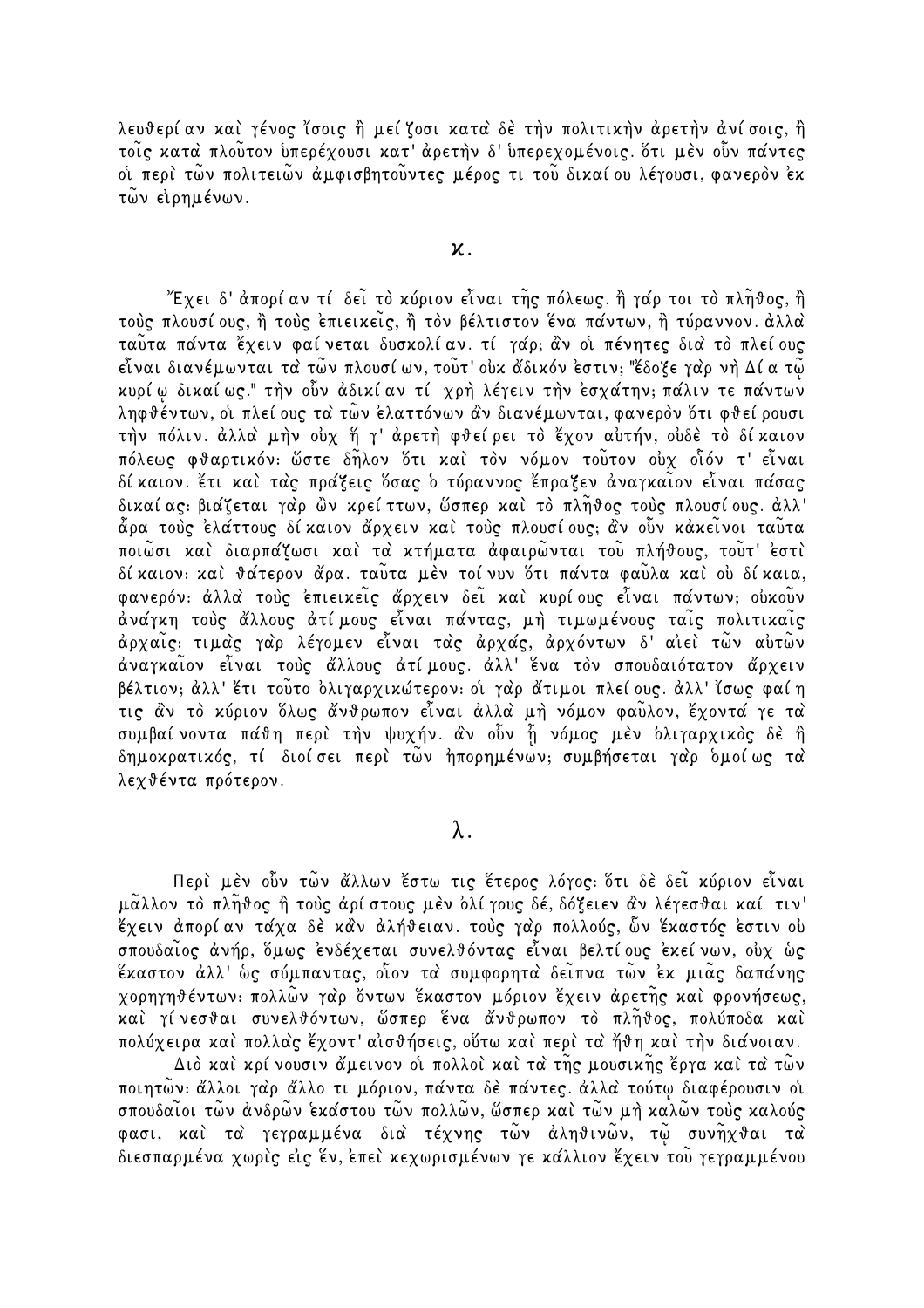λευθερίαν και γένος Ίσοις ή μεί ζοσι κατα δε την πολιτικην άρετην ανίσοις, ή τοις κατα πλούτον υπερέχουσι κατ' άρετην δ' υπερεχομένοις. Ότι μεν ούν πάντες οί περι των πολιτειων άμφισβητούντες μέρος τι του δικαί ου λέγουσι, φανερον εκ τῶν είρημένων.

#### $\chi$ .

"Έχει δ' άπορί αν τί δεῖ τὸ κύριον εἶναι τῆς πόλεως. ἢ γάρ τοι τὸ πλῆθος, ἢ τούς πλουσί ους, ή τούς επιεικείς, ή τον βέλτιστον ένα πάντων, ή τύραννον. άλλα ταύτα πάντα έχειν φαίνεται δυσκολίαν. τί γάρ; ἂν οί πένητες δια το πλείους εἶναι διανέμωνται τα τῶν πλουσί ων, τοῦτ' οὐκ ἄδικόν 'εστιν; "'έδοξε γαρ νη Δία τῶ κυρίω δικαίως." την οὖν άδικίαν τί χρη λέγειν την εσχάτην; πάλιν τε πάντων ληφθέντων, οί πλεί ους τα τῶν 'ελαττόνων ἀν διανέμωνται, φανερὸν ὅτι φθεί ρουσι τήν πόλιν. άλλα μήν ούχ ή γ' άρετή φθεί ρει το έχον αύτήν, ούδε το δίκαιον πόλεως φθαρτικόν: ὥστε δηλον ὅτι και τον νόμον τούτον ουχ οιόν τ' εἶναι δίκαιον. έτι και τας πράξεις δσας ο τύραννος έπραξεν αναγκαιον είναι πάσας δικαίας: βιάζεται γαρ ὢν κρείττων, ὥσπερ και το πληθος τους πλουσίους. άλλ' άρα τούς ελάττους δίκαιον άρχειν και τούς πλουσίους; άν ούν κάκεινοι ταυτα ποιώσι καὶ διαρπάζωσι καὶ τὰ κτήματα ἀφαιρώνται τοῦ πλήθους, τοῦτ' ἐστὶ δί καιον: και θάτερον άρα, ταύτα μεν τοί νυν ότι πάντα φαύλα και ου δί καια, φανερόν: άλλα τούς επιεικείς άρχειν δεί και κυρίους είναι πάντων; ουκούν άνάγκη τούς άλλους άτίμους είναι πάντας, μή τιμωμένους ταις πολιτικαις άρχαις: τιμας γαρ λέγομεν είναι τας άρχας, άρχόντων δ' αίει των αυτων άναγκαίον είναι τούς άλλους άτίμους. άλλ' ένα τον σπουδαιότατον άρχειν βέλτιον; άλλ' έτι τούτο ολιγαρχικώτερον: οί γαρ άτιμοι πλεί ους. άλλ' ίσως φαί η τις άν τὸ κύριον ὅλως ἄνθρωπον εἶναι ἀλλα μὴ νόμον φαῦλον, ἔχοντά γε τα συμβαίνοντα πάθη περὶ τὴν ψυχήν. ἀν οὖν ἦ νόμος μεν ολιγαρχικος δε ἢ δημοκρατικός, τί διοίσει περί των ήπορημένων; συμβήσεται γαρ δμοίως τα λεχθέντα πρότερον.

## $\lambda$ .

Περὶ μὲν οὖν τῶν ἄλλων ἔστω τις ἕτερος λόγος: ὅτι δὲ δεἶ κύριον εἶναι μαλλον τὸ πλῆθος ἢ τοὺς ἀρί στους μὲν ὀλί γους δέ, δόξειεν ἀν λέγεσθαι καί τιν' έχειν άπορίαν τάχα δὲ κἂν ἀλήθειαν. τοὺς γὰρ πολλούς, ὧν ἕκαστός ἐστιν οὐ σπουδαίος άνήρ, δμως ενδέχεται συνελθόντας είναι βελτίους εκείνων, ούχ ώς έκαστον άλλ' ως σύμπαντας, οίον τα συμφορητα δείπνα των έκ μιας δαπάνης γορηγηθέντων: πολλών γαρ ὄντων ἕκαστον μόριον ἔγειν ἀρετῆς καὶ φρονήσεως, καὶ γίνεσθαι συνελθόντων, ὥσπερ ἕνα ἄνθρωπον τὸ πληνος, πολύποδα καὶ πολύχειρα και πολλας έχοντ' αισθήσεις, ούτω και περι τα ήθη και την διάνοιαν.

Διὸ καὶ κρί νουσιν ἄμεινον οἱ πολλοὶ καὶ τὰ τῆς μουσικῆς ἔργα καὶ τὰ τῶν ποιητών: άλλοι γαρ άλλο τι μόριον, πάντα δέ πάντες. άλλα τούτω διαφέρουσιν οί σπουδαίοι τῶν ἀνδρῶν ἑκάστου τῶν πολλῶν, ὥσπερ καὶ τῶν μὴ καλῶν τοὺς καλούς φασι, καὶ τὰ γεγραμμένα διὰ τέχνης τὦν αληθινὦν, τὦ συνῆχθαι τὰ διεσπαρμένα γωρίς είς έν, επεί κεγωρισμένων γε κάλλιον έγειν τοῦ γεγραμμένου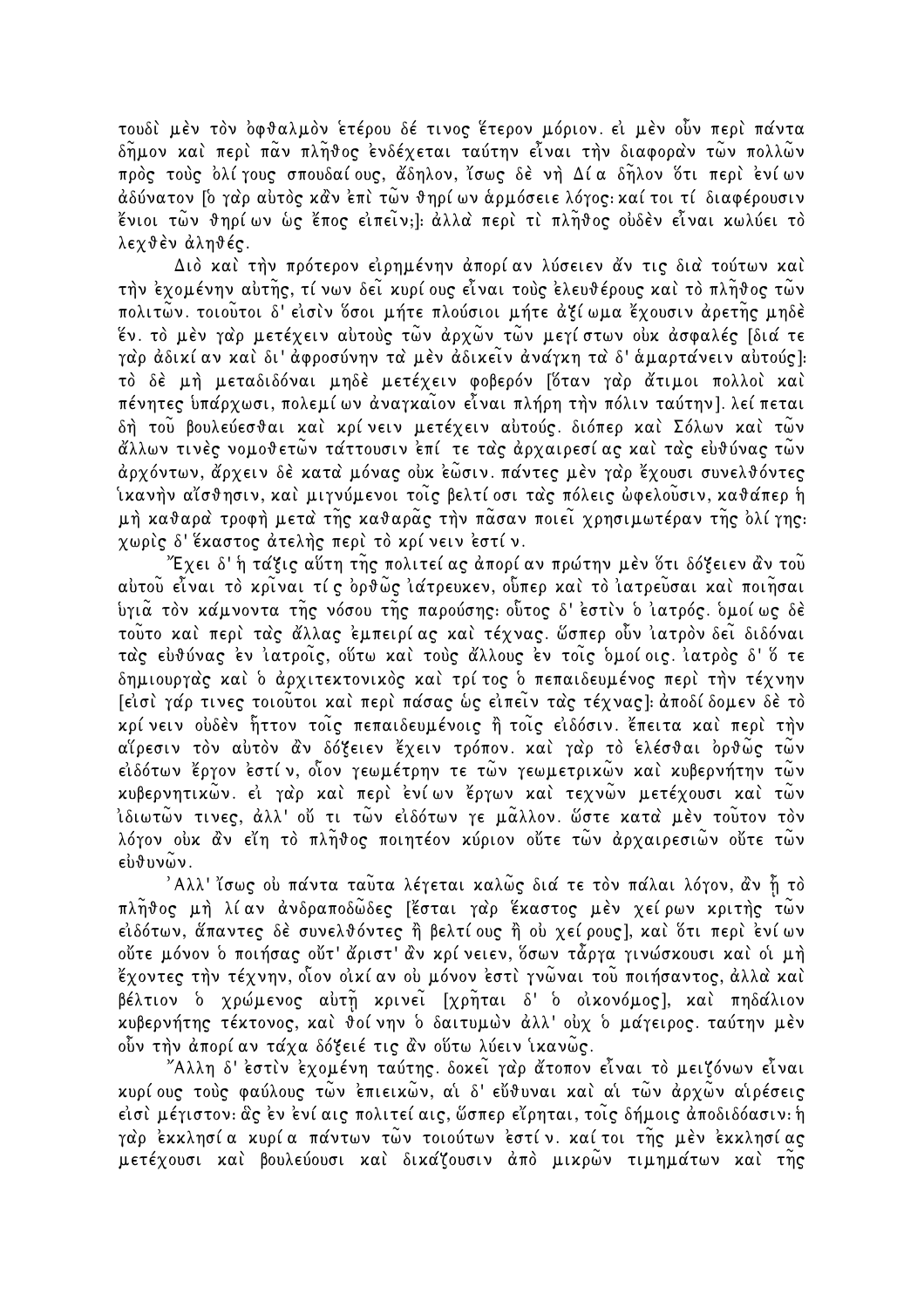τουδί μέν τον οφθαλμον ετέρου δέ τινος έτερον μόριον. εί μέν ούν περί πάντα δημον καὶ περὶ πᾶν πλῆθος ἐνδέχεται ταύτην εἶναι τὴν διαφοραν τῶν πολλῶν πρός τούς όλίγους σπουδαίους, άδηλον, ίσως δέ νή Δία δηλον ότι περί ένίων άδύνατον [δ γαρ αύτος κάν επι τῶν θηρί ων άρμόσειε λόγος: καί τοι τί διαφέρουσιν ένιοι τῶν θηρίων ως ἔπος ειπεἶν; : ἀλλα περι τι πλῆθος οὐδεν εἶναι κωλύει το λεχθέν άληθές.

Διὸ καὶ τὴν πρότερον εἰρημένην ἀπορίαν λύσειεν ἄν τις δια τούτων καὶ την εγομένην αυτής, τί νων δεί κυρί ους είναι τους ελευθέρους και το πλήθος τών πολιτῶν. τοιοῦτοι δ' εἰσὶν ὅσοι μήτε πλούσιοι μήτε ἀξί ωμα ἔχουσιν ἀρετῆς μηδὲ έν, το μέν γαρ μετέγειν αύτους των αργών των μεγίστων ουκ ασφαλές [δια τε γαρ άδικί αν και δι' άφροσύνην τα μεν άδικείν ανάγκη τα δ' άμαρτάνειν αυτούς]: τὸ δε μή μεταδιδόναι μηδε μετέχειν φοβερόν [ὅταν γαρ ἄτιμοι πολλοί και πένητες υπάρχωσι, πολεμί ων άναγκαΐον εἶναι πλήρη την πόλιν ταύτην]. λεί πεται δή του βουλεύεσθαι καὶ κρίνειν μετέχειν αὐτούς. διόπερ καὶ Σόλων καὶ των άλλων τινές νομοθετῶν τάττουσιν ἐπί τε τας ἀρχαιρεσίας καὶ τας εὐθύνας τῶν άρχόντων, άρχειν δέ κατα μόνας ούκ εώσιν. πάντες μέν γαρ έχουσι συνελθόντες ίκανήν αἴσθησιν, καὶ μιγνύμενοι τοἶς βελτί οσι τας πόλεις ὦφελοῦσιν, καθάπερ ἡ μή καθαρα τροφή μετα της καθαράς την πάσαν ποιεί χρησιμωτέραν της ολίγης: γωρίς δ' έκαστος άτελής περί το κρίνειν έστίν.

"Έχει δ' ἡ τάξις αὕτη τῆς πολιτεί ας ἀπορί αν πρώτην μὲν ὅτι δόξειεν ἀν τοῦ αύτου είναι το κρίναι τίς ορθως ιάτρευκεν, ούπερ και το ιατρευσαι και ποιήσαι υγιά τον κάμνοντα της νόσου της παρούσης: ούτος δ' έστιν ο ιατρός. ομοί ως δέ τούτο και περι τας άλλας εμπειρίας και τέχνας. ώσπερ ούν ιατρον δει διδόναι τας εύθύνας εν ιατροίς, ούτω και τους άλλους εν τοις δμοίοις ιατρος δ' δ τε δημιουργας και ο αρχιτεκτονικός και τρίτος ο πεπαιδευμένος περι την τέχνην [είσι γάρ τινες τοιούτοι και περι πάσας ως ειπείν τας τέχνας] άποδί δομεν δε το κρίνειν ούδεν ήττον τοις πεπαιδευμένοις ή τοις ειδόσιν. έπειτα και περι την αίρεσιν τον αύτον άν δόξειεν έχειν τρόπον. και γαρ το ελέσθαι ορθώς των ειδότων ἔργον ἐστίν, οἷον γεωμέτρην τε τῶν γεωμετρικῶν καὶ κυβερνήτην τῶν κυβερνητικών. εί γαρ και περι ενίων έργων και τεχνών μετέχουσι και των ἰδιωτῶν τινες, ἀλλ' οὔ τι τῶν εἰδότων γε μᾶλλον. ὥστε κατὰ μὲν τοῦτον τὸν λόγον ούκ άν είη το πληθος ποιητέον κύριον ούτε των άρχαιρεσιων ούτε των  $\epsilon \dot{\nu} \vartheta \nu \nu \tilde{\omega} \nu$ .

'Αλλ' ἴσως οὐ πάντα ταῦτα λέγεται καλῶς διά τε τὸν πάλαι λόγον, ἂν ἦ τὸ πληθος μη λίαν ανδραποδώδες [έσται γαρ έκαστος μέν χείρων κριτης τών ειδότων, άπαντες δε συνελθόντες ή βελτίους ή ού χείρους], και ότι περι ενίων οὔτε μόνον ὁ ποιήσας οὔτ' ἄριστ' ἀν κρί νειεν, ὅσων τἆργα γινώσκουσι καὶ οἱ μὴ έχοντες την τέχνην, οἷον οἰκί αν οὐ μόνον 'εστὶ γνῶναι τοῦ ποιήσαντος, ἀλλα καὶ βέλτιον ο χρώμενος αύτη κρινεί [χρηται δ' ο οικονόμος], και πηδάλιον κυβερνήτης τέκτονος, και θοίνην ο δαιτυμων άλλ' ούχ ο μάγειρος ταύτην μεν οὖν την άπορί αν τάχα δόξειέ τις ἂν οὕτω λύειν ίκανως.

"Αλλη δ' ἐστὶν ἐχομένη ταύτης. δοκεἶ γαρ ἄτοπον εἶναι τὸ μειζόνων εἶναι κυρίους τούς φαύλους τῶν ἐπιεικῶν, αί δ' εὔθυναι καὶ αί τῶν ἀρχῶν αίρέσεις είσι μέγιστον: άς εν ενί αις πολιτεί αις, ώσπερ είρηται, τοις δήμοις άποδιδόασιν: η γαρ εκκλησία κυρία πάντων των τοιούτων εστίν. καίτοι της μεν εκκλησίας μετέχουσι καὶ βουλεύουσι καὶ δικάζουσιν ἀπὸ μικρῶν τιμημάτων καὶ τῆς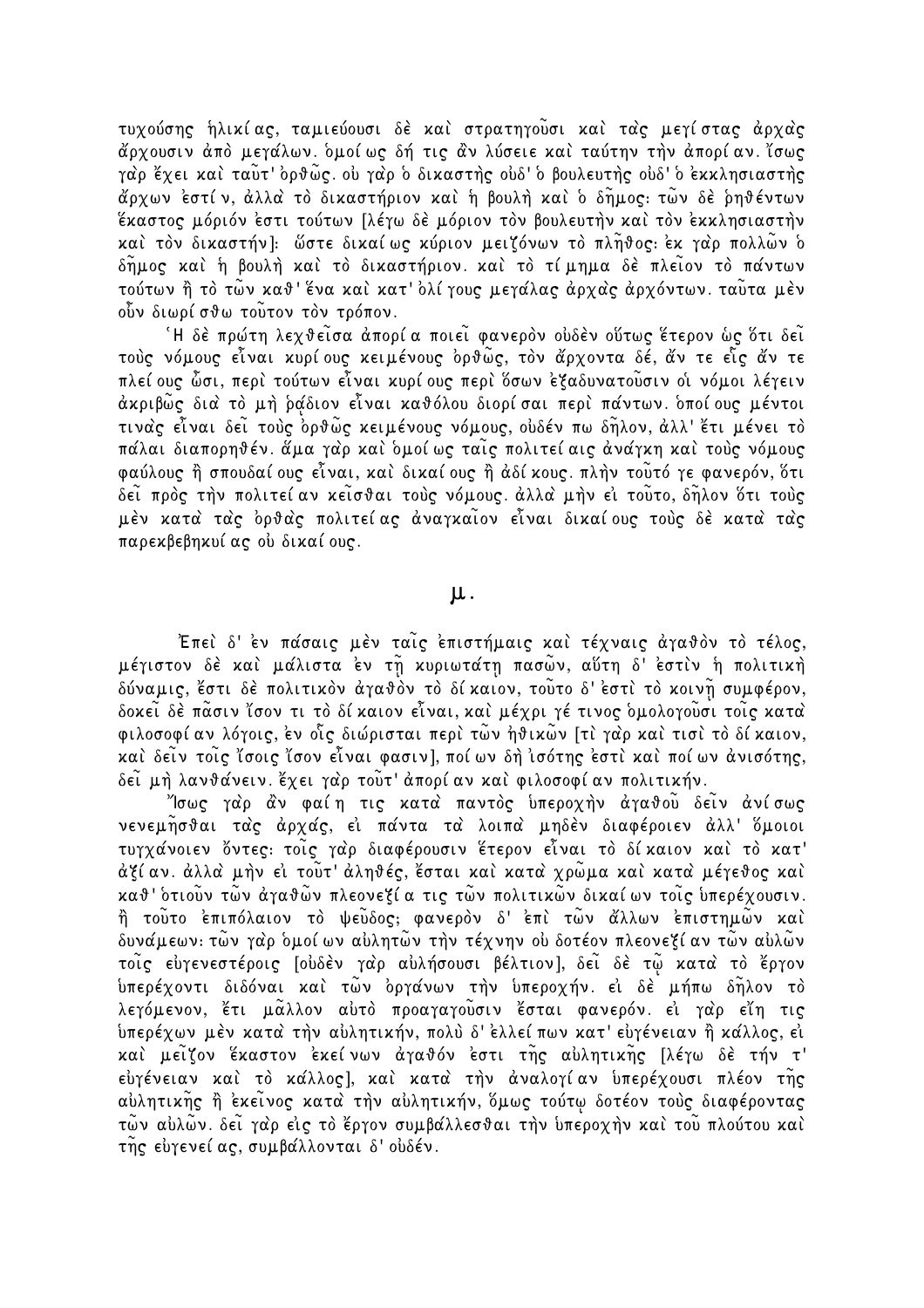τυχούσης ηλικίας, ταμιεύουσι δέ και στρατηγούσι και τας μεγίστας άρχας άρχουσιν άπό μεγάλων. δμοί ως δή τις άν λύσειε και ταύτην την άπορί αν. Ίσως γαρ έχει και ταύτ όρθως. ού γαρ ο δικαστής ούδ ο βουλευτής ούδ ο εκκλησιαστής άρχων 'εστίν, άλλα τὸ δικαστήριον καὶ ἡ βουλὴ καὶ ὁ δῆμος: τῶν δὲ ϸηθέντων έκαστος μόριόν έστι τούτων [λέγω δε μόριον τον βουλευτήν και τον εκκλησιαστήν και τον δικαστήν]: ώστε δικαί ως κύριον μειζόνων το πληθος: εκ γαρ πολλών δ δήμος και η βουλη και το δικαστήριον. και το τίμημα δε πλείον το πάντων τούτων ή το τών καθ' ένα και κατ' ολί γους μεγάλας άρχας άρχόντων. ταύτα μεν ούν διωρί σθω τουτον τον τρόπον.

Ή δέ πρώτη λεγθείσα άπορία ποιεί φανερόν ούδέν ούτως έτερον ώς ότι δεί τούς νόμους είναι κυρίους κειμένους ορθώς, τον άρχοντα δέ, άν τε είς άν τε πλεί ους ὦσι, περὶ τούτων εἶναι κυρί ους περὶ ὅσων ἐξαδυνατοῦσιν οἱ νόμοι λέγειν άκριβώς δια το μη ράδιον είναι καθόλου διορίσαι περι πάντων. όποί ους μέντοι τινας είναι δει τους όρθως κειμένους νόμους, ουδέν πω δηλον, άλλ' έτι μένει το πάλαι διαπορηθέν. άμα γαρ και δμοί ως ταις πολιτεί αις ανάγκη και τους νόμους φαύλους ή σπουδαί ους είναι, και δικαί ους ή άδί κους. πλην τουτό γε φανερόν, ότι δει πρός την πολιτεί αν κεισθαι τούς νόμους. άλλα μην ει τουτο, δηλον ότι τούς μέν κατα τας ορθας πολιτείας αναγκαίον είναι δικαίους τούς δέ κατα τας παρεκβεβηκυίας ού δικαίους.

μ.

Έπει δ' έν πάσαις μέν ταις επιστήμαις και τέχναις άγαθον το τέλος, μέγιστον δέ και μάλιστα έν τη κυριωτάτη πασών, αύτη δ' έστιν ή πολιτική δύναμις, έστι δε πολιτικόν άγαθον το δίκαιον, τούτο δ' έστι το κοινη συμφέρον, δοκεί δε πάσιν Ίσον τι το δίκαιον είναι, και μέχρι γέ τινος ομολογούσι τοις κατα φιλοσοφίαν λόγοις, εν οΐς διώρισται περί τῶν ἠθικῶν [τὶ γαρ καὶ τισὶ τὸ δί καιον, και δείν τοις Ίσοις Ίσον είναι φασιν], ποί ων δη ισότης εστι και ποί ων άνισότης, δεί μή λανθάνειν. έχει γαρ τούτ' άπορί αν και φιλοσοφί αν πολιτικήν.

<sup>γ</sup>Ίσως γαρ ἂν φαίη τις κατα παντὸς ὑπεροχὴν ἀγαθοῦ δεῖν ἀνίσως νενεμήσθαι τας άρχας, ει παντα τα λοιπα μηδέν διαφέροιεν άλλ' δμοιοι τυγχάνοιεν όντες: τοις γαρ διαφέρουσιν έτερον είναι το δίκαιον και το κατ' άζίαν. άλλα μήν εί τούτ' άληθές, έσται και κατα χρώμα και κατα μέγεθος και καθ' ότιούν τῶν ἀγαθῶν πλεονεζί α τις τῶν πολιτικῶν δικαί ων τοἶς ὑπερέχουσιν. ή τοῦτο ἐπιπόλαιον τὸ ψεῦδος; φανερὸν δ' ἐπὶ τῶν ἄλλων ἐπιστημῶν καὶ δυνάμεων: τῶν γαρ δμοί ων αύλητῶν την τέχνην οὐ δοτέον πλεονεξί αν τῶν αὐλῶν τοις εύγενεστέροις [ούδεν γαρ αυλήσουσι βέλτιον], δει δε τω κατα το έργον υπερέχοντι διδόναι και των οργάνων την υπεροχήν. ει δε μήπω δηλον το λεγόμενον, έτι μαλλον αύτο προαγαγούσιν έσται φανερόν. εί γαρ είη τις υπερέχων μέν κατα την αύλητικήν, πολύ δ' ελλεί πων κατ' ευγένειαν ή κάλλος, ει και μείζον έκαστον εκείνων άγαθόν εστι της αυλητικης [λέγω δε τήν τ' εύγένειαν και το κάλλος), και κατα την αναλογίαν υπερέχουσι πλέον της αύλητικής ή έκεινος κατα την αύλητικήν, όμως τούτω δοτέον τούς διαφέροντας τῶν αὐλῶν. δεἶ γαρ εἰς τὸ ἔργον συμβάλλεσθαι τὴν ὑπεροχὴν καὶ τοῦ πλούτου καὶ της εύγενεί ας, συμβαλλονται δ' ουδέν.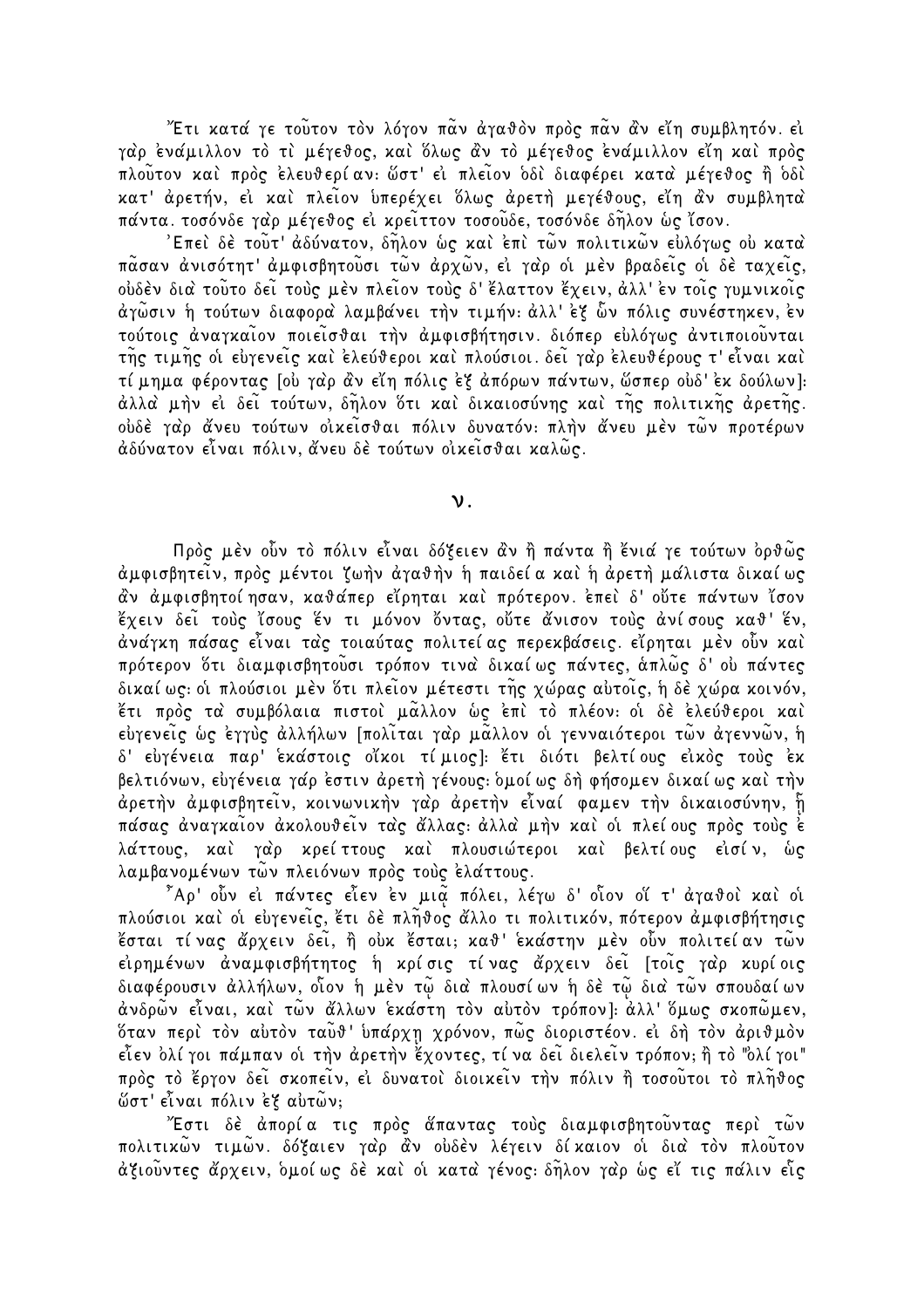"Έτι κατά γε τοῦτον τὸν λόγον πᾶν ἀγαθὸν πρὸς πᾶν ἂν εἴη συμβλητόν. εἰ γαρ ενάμιλλον το τι μέγεθος, και δλως άν το μέγεθος ενάμιλλον είη και προς πλούτον και προς ελευθερίαν: ώστ' ει πλείον δδι διαφέρει κατα μέγεθος ή δδι κατ' άρετήν, εί και πλείον υπερέχει δλως άρετη μεγέθους, είη άν συμβλητα πάντα. τοσόνδε γαρ μέγεθος εί κρείττον τοσούδε, τοσόνδε δηλον ως Ίσον.

'Επεὶ δὲ τοῦτ' ἀδύνατον, δῆλον ὡς καὶ ἐπὶ τῶν πολιτικῶν εὐλόγως οὐ κατὰ πᾶσαν ἀνισότητ' ἀμφισβητοῦσι τῶν ἀρχῶν, εἰ γαρ οἱ μὲν βραδεἶς οἱ δὲ ταχεἶς, ούδεν δια τούτο δεί τους μεν πλείον τους δ' έλαττον έχειν, άλλ' εν τοίς γυμνικοίς άγὧσιν ή τούτων διαφορα λαμβάνει την τιμήν: άλλ' έξ ὧν πόλις συνέστηκεν, έν τούτοις άναγκαίον ποιείσθαι την άμφισβήτησιν. διόπερ ευλόγως άντιποιούνται της τιμης οι ευγενείς και ελεύθεροι και πλούσιοι. δεί γαρ ελευθέρους τ' είναι και τί μημα φέροντας [ού γαρ άν είη πόλις εξ άπόρων πάντων, ώσπερ ουδ' εκ δούλων]. άλλα μήν ει δεί τούτων, δήλον ότι και δικαιοσύνης και της πολιτικής αρετης. ούδέ γαρ άνευ τούτων οικείσθαι πόλιν δυνατόν: πλήν άνευ μέν των προτέρων άδύνατον εἶναι πόλιν, ἄνευ δὲ τούτων οἰκεἶσθαι καλῶς.

 $\mathcal{V}$ .

Πρὸς μὲν οὖν τὸ πόλιν εἶναι δόξειεν ἀν ἢ παντα ἢ ἔνια γε τούτων ὀρθῶς άμφισβητείν, πρός μέντοι ζωήν άγαθήν ή παιδεί α και ή άρετή μαλιστα δικαί ως άν άμφισβητοί ησαν, καθάπερ εἴρηται καὶ πρότερον. ἐπεὶ δ' οὕτε πάντων ἴσον έχειν δεί τούς Ίσους έν τι μόνον ὄντας, ούτε άνισον τούς ανίσους καθ' έν, άνάγκη πάσας είναι τας τοιαύτας πολιτείας περεκβάσεις. είρηται μέν ούν και πρότερον ότι διαμφισβητούσι τρόπον τινα δικαίως πάντες, απλώς δ' ου πάντες δικαί ως: οί πλούσιοι μέν ότι πλείον μέτεστι της χώρας αυτοίς, η δέ χώρα κοινόν, έτι πρός τα συμβόλαια πιστοί μάλλον ώς επί το πλέον: οί δε ελεύθεροι καί εὐγενεῖς ὡς ἐγγὺς ἀλλήλων [πολῖται γαρ μᾶλλον οἱ γενναιότεροι τῶν ἀγεννῶν, ἡ δ' εύγένεια παρ' έκαστοις οίκοι τίμιος]: έτι διότι βελτίους εικός τούς έκ βελτιόνων, ευγένεια γάρ 'εστιν άρετη γένους: δμοί ως δη φήσομεν δικαί ως και την άρετην άμφισβητείν, κοινωνικήν γαρ άρετην είναί φαμεν την δικαιοσύνην, η πάσας άναγκαίον άκολουθείν τας άλλας: άλλα μήν και οί πλεί ους προς τους ε λάττους, και γαρ κρείττους και πλουσιώτεροι και βελτίους εισίν, ώς λαμβανομένων τῶν πλειόνων πρὸς τοὺς ελάττους.

້Αρ' οὗν εἰ παντες εἶεν ἐν μιἆ πόλει, λέγω δ' οἷον οἵ τ' ἀγαθοὶ καὶ οἱ πλούσιοι και οί ευγενείς, έτι δε πληθος άλλο τι πολιτικόν, πότερον αμφισβήτησις έσται τίνας άρχειν δει, ή ούκ έσται; καθ' εκάστην μεν ούν πολιτείαν των είρημένων αναμφισβήτητος η κρίσις τίνας άρχειν δεϊ [τοις γαρ κυρίοις διαφέρουσιν άλλήλων, οἷον ή μεν τῷ δια πλουσίων ἡ δε τῷ δια τῶν σπουδαίων άνδρων εἶναι, και των άλλων εκάστη τον αὐτον τρόπον]: άλλ' δμως σκοπωμεν, δταν περί τον αύτον ταύθ' ύπαρχη χρόνον, πώς διοριστέον. εί δη τον αριθμον εἶεν ὀλίγοι πάμπαν οἱ τὴν ἀρετὴν ἔχοντες, τί να δεἶ διελεἶν τρόπον; ἢ τὸ "ὸλίγοι" πρός το έργον δεί σκοπείν, ει δυνατοί διοικείν την πόλιν ή τοσούτοι το πλήθος ώστ' εἶναι πόλιν 'εξ αυτων;

"Έστι δὲ ἀπορία τις πρὸς ἄπαντας τοὺς διαμφισβητοῦντας περὶ τῶν πολιτικῶν τιμῶν. δόξαιεν γαρ ἀν οὐδὲν λέγειν δίκαιον οἱ δια τὸν πλοῦτον άξιοῦντες ἄρχειν, ὁμοίως δὲ καὶ οἱ κατὰ γένος: δῆλον γὰρ ὡς εἴ τις παλιν εἶς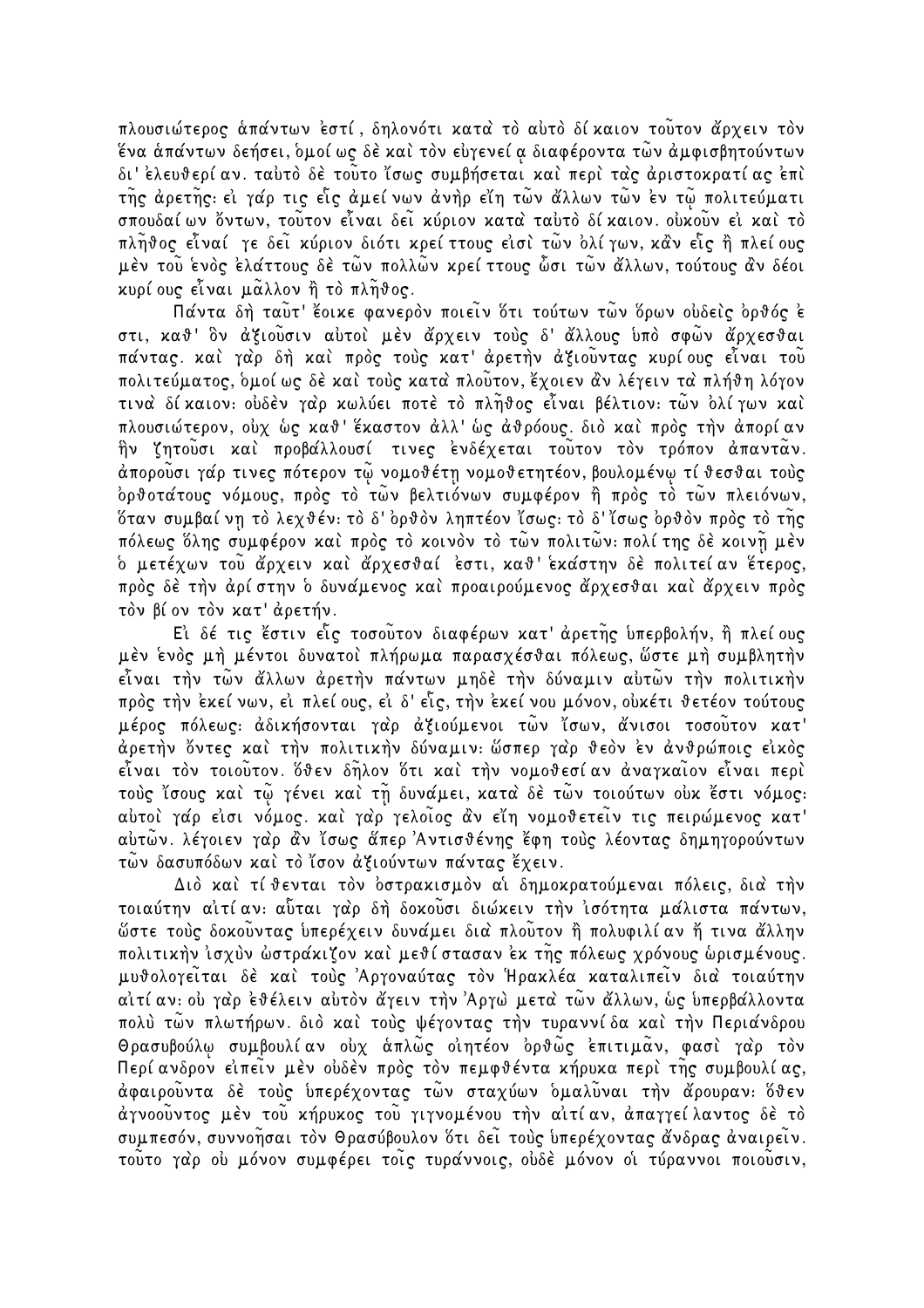πλουσιώτερος άπάντων 'εστί, δηλονότι κατα το αύτο δίκαιον τούτον άρχειν τον ένα άπάντων δεήσει, δμοί ως δέ και τον ευγενεί α διαφέροντα τῶν ἀμφισβητούντων δι' έλευθερί αν. ταύτο δε τούτο Ίσως συμβήσεται και περι τας άριστοκρατί ας επι της άρετης: εί γάρ τις είς άμεί νων άνηρ είη των άλλων των εν τω πολιτεύματι σπουδαί ων όντων, τούτον είναι δει κύριον κατα ταύτο δίκαιον. ούκουν εί και το πλη̃θος εἶναί γε δει κύριον διότι κρεί ττους εἰσι των ολίγων, κάν είς ή πλεί ους μέν τοῦ ἑνὸς ἐλαττους δὲ τῶν πολλῶν κρεί ττους ὦσι τῶν ἄλλων, τούτους ἂν δέοι κυρί ους είναι μάλλον ή το πληθος.

Πάντα δη ταῦτ ἔοιχε φανερὸν ποιεἶν ὅτι τούτων τῶν ὅρων οὐδεὶς ὀρθός ἐ στι, καθ' δν άζιούσιν αύτοί μέν άρχειν τούς δ' άλλους ύπο σφών άρχεσθαι πάντας. και γαρ δη και προς τους κατ' άρετην άξιούντας κυρίους είναι του πολιτεύματος, όμοί ως δέ και τους κατα πλούτον, έχοιεν άν λέγειν τα πλήθη λόγον τινα δίκαιον: ούδέν γαρ κωλύει ποτέ το πληθος είναι βέλτιον: των ολίγων και πλουσιώτερον, ούχ ώς καθ' έκαστον άλλ' ώς άθρόους. διό καί πρός την άπορίαν ήν ζητούσι καὶ προβάλλουσί τινες ἐνδέχεται τούτον τὸν τρόπον ἀπαντᾶν. άπορούσι γάρ τινες πότερον τώ νομοθέτη νομοθετητέον, βουλομένω τίθεσθαι τούς όρθοτάτους νόμους, πρός το των βελτιόνων συμφέρον ή προς το των πλειόνων, δταν συμβαί νη το λεχθέν: το δ' ορθον ληπτέον Ίσως: το δ' Ίσως ορθον προς το της πόλεως όλης συμφέρον και προς το κοινον το των πολιτων: πολί της δε κοινη μεν δ μετέχων του άρχειν και άρχεσθαί 'εστι, καθ' εκάστην δε πολιτείαν έτερος, πρός δέ την άρίστην ο δυναμενος και προαιρούμενος άρχεσθαι και άρχειν πρός τόν βίον τόν κατ' άρετήν.

Εί δέ τις έστιν είς τοσούτον διαφέρων κατ' άρετης υπερβολήν, ή πλεί ους μέν ένός μή μέντοι δυνατοί πλήρωμα παρασχέσθαι πόλεως, ώστε μή συμβλητήν εἶναι την τῶν ἄλλων ἀρετην πάντων μηδέ την δύναμιν αὐτῶν την πολιτικην πρὸς τὴν ἐκεί νων, εἰ πλεί ους, εἰ δ' εἶς, τὴν ἐκεί νου μόνον, οὐκέτι θετέον τούτους μέρος πόλεως: άδικήσονται γαρ άξιούμενοι των Ίσων, άνισοι τοσούτον κατ' άρετήν όντες και τήν πολιτικήν δύναμιν: ώσπερ γαρ θεον εν ανθρώποις εικός εἶναι τὸν τοιοῦτον. ὅθεν δῆλον ὅτι καὶ τὴν νομοθεσίαν ἀναγκαῖον εἶναι περὶ τούς Ίσους και τώ γένει και τη δυνάμει, κατα δε τών τοιούτων ούκ έστι νόμος: αύτοι γάρ είσι νόμος και γαρ γελοίος άν είη νομοθετείν τις πειρώμενος κατ' αυτών. λέγοιεν γαρ άν ἴσως ἅπερ Ἀντισθένης ἔφη τους λέοντας δημηγορούντων τών δασυπόδων και το ίσον αξιούντων πάντας έχειν.

Διό καὶ τίθενται τὸν οστρακισμὸν αί δημοκρατούμεναι πόλεις, δια τήν τοιαύτην αιτίαν: αύται γαρ δη δοκούσι διώκειν την ισότητα μάλιστα πάντων, ώστε τούς δοχούντας υπερέχειν δυνάμει δια πλούτον ἢ πολυφιλίαν ἤ τινα ἄλλην πολιτικήν ισχύν ώστρακιζον και μεθί στασαν εκ της πόλεως χρόνους ώρισμένους. μυθολογείται δέ και τους Άργοναύτας τον Ήρακλέα καταλιπείν δια τοιαύτην αιτίαν: ου γαρ εθέλειν αυτον άγειν την Άργω μετα των άλλων, ως υπερβάλλοντα πολύ των πλωτήρων. διό καί τούς ψέγοντας την τυραννίδα καί την Περιάνδρου Θρασυβούλω συμβουλίαν ούχ άπλως οιητέον ορθως επιτιμαν, φασι γαρ τον Περί ανδρον είπειν μέν ούδεν πρός τον πεμφθέντα κήρυκα περί της συμβουλίας, άφαιρούντα δέ τούς υπερέχοντας τῶν σταχύων δμαλῦναι τὴν ἄρουραν: ὅθεν άγνοούντος μέν τού κήρυκος τού γιγνομένου την αίτίαν, άπαγγείλαντος δέ το συμπεσόν, συννοήσαι τον Θρασύβουλον ότι δεί τους υπερέχοντας άνδρας αναιρείν. τούτο γαρ ού μόνον συμφέρει τοις τυράννοις, ούδε μόνον οι τύραννοι ποιουσιν,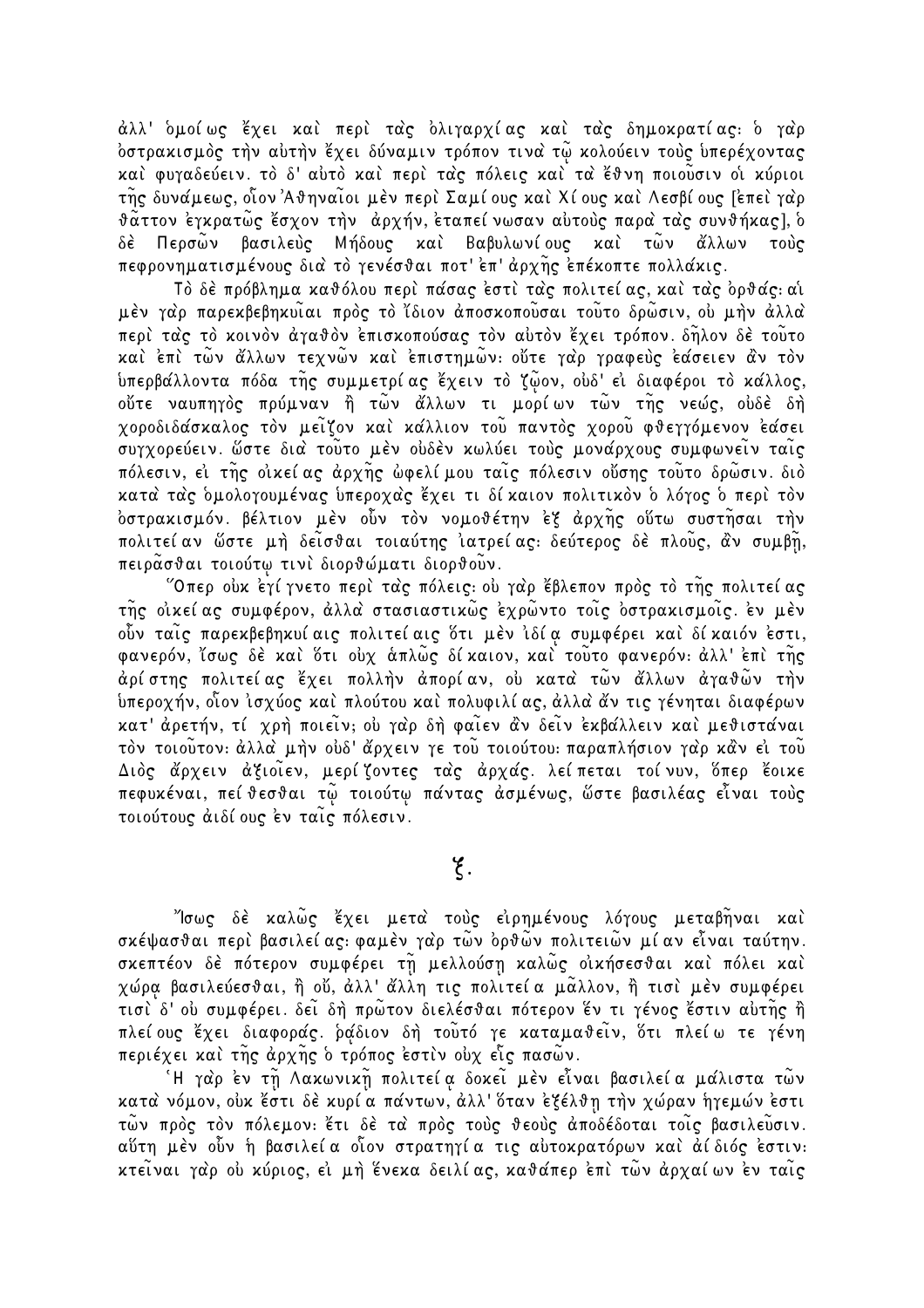άλλ' όμοίως έχει και περι τας ολιγαρχίας και τας δημοκρατίας: ο γαρ όστρακισμός την αύτην έχει δύναμιν τρόπον τινα τω κολούειν τούς υπερέχοντας και φυγαδεύειν. το δ' αύτο και περι τας πόλεις και τα έθνη ποιούσιν οι κύριοι τῆς δυνάμεως, οἷον Ἀθηναἶοι μεν περι Σαμί ους και Χί ους και Λεσβί ους Γεπει γαρ θάττον εγκρατώς έσχον την άρχήν, εταπεί νωσαν αύτους παρα τας συνθήκας], δ βασιλεύς Μήδους καί Βαβυλωνίους και τών άλλων  $\delta \hat{\epsilon}$ Περσών τούς πεφρονηματισμένους δια το γενέσθαι ποτ' επ' άρχης επέκοπτε πολλάκις.

Τὸ δὲ πρόβλημα καθόλου περί πάσας έστι τας πολιτεί ας, και τας ορθάς: αι μέν γαρ παρεκβεβηκυΐαι πρός το Ίδιον αποσκοπούσαι τούτο δρώσιν, ου μήν αλλα περί τας το κοινόν άγαθον επισκοπούσας τον αυτον έγει τρόπον. δηλον δε τούτο καὶ ἐπὶ τὦν ἄλλων τεχνῶν καὶ ἐπιστημῶν: ούτε γαρ γραφεὺς ἐασειεν ἀν τὸν υπερβάλλοντα πόδα της συμμετρίας έχειν το ζώον, ουδ' ει διαφέροι το κάλλος, ούτε ναυπηγός πρύμναν ή τῶν ἄλλων τι μορίων τῶν τῆς νεώς, οὐδε δή χοροδιδάσκαλος τον μείζον και κάλλιον του παντος χορού φθεγγόμενον εάσει συγχορεύειν. ὥστε δια τούτο μέν ουδέν κωλύει τους μοναρχους συμφωνείν ταις πόλεσιν, ει της οικείας άρχης ώφελί μου ταις πόλεσιν ούσης τουτο δρώσιν. διο κατα τας δμολογουμένας υπεροχας έχει τι δίκαιον πολιτικόν δ λόγος δ περί τον όστρακισμόν. βέλτιον μέν οὖν τὸν νομοθέτην 'εξ ἀρχῆς οὕτω συστῆσαι τὴν πολιτεί αν ώστε μή δείσθαι τοιαύτης ιατρεί ας: δεύτερος δε πλούς, άν συμβη, πειρασθαι τοιούτω τινί διορθώματι διορθούν.

Όπερ οὐκ 'εγί γνετο περὶ τας πόλεις: οὐ γαρ ἔβλεπον πρὸς τὸ τῆς πολιτεί ας της οίκείας συμφέρον, άλλα στασιαστικώς εχρώντο τοις οστρακισμοις. εν μεν οὖν ταις παρεκβεβηκυί αις πολιτεί αις ὅτι μεν ιδία συμφέρει και δίκαιόν εστι, φανερόν, Ίσως δέ και ότι ουχ απλώς δίκαιον, και τούτο φανερόν: άλλ' επι της άρίστης πολιτείας έχει πολλήν άπορίαν, ου κατα των άλλων άγαθων τήν υπεροχήν, οΐον ισχύος και πλούτου και πολυφιλίας, άλλα άν τις γένηται διαφέρων κατ' άρετήν, τί χρη ποιείν; ού γαρ δη φαίεν άν δείν εκβάλλειν και μεθιστάναι τόν τοιούτον: άλλα μήν ούδ' άρχειν γε τού τοιούτου: παραπλήσιον γαρ κάν εί τού Διός άρχειν άξιοιεν, μερίζοντες τας άρχας. λείπεται τοίνυν, όπερ έοικε πεφυκέναι, πεί θεσθαι τώ τοιούτω πάντας άσμένως, ώστε βασιλέας είναι τούς τοιούτους άιδί ους έν ταις πόλεσιν.

 $\zeta$ .

<sup>"</sup>Ίσως δὲ καλῶς ἔχει μετα τοὺς εἰρημένους λόγους μεταβῆναι καὶ σκέψασθαι περί βασιλεί ας: φαμέν γαρ των ορθων πολιτειων μίαν είναι ταύτην. σκεπτέον δε πότερον συμφέρει τη μελλούση καλώς οικήσεσθαι και πόλει και χώρα βασιλεύεσθαι, ἢ οὔ, ἀλλ' ἄλλη τις πολιτεία μαλλον, ἢ τισὶ μεν συμφέρει τισὶ δ' οὐ συμφέρει. δει δὴ πρῶτον διελέσθαι πότερον ἕν τι γένος ἔστιν αὐτῆς ἢ πλείους έχει διαφοράς. ράδιον δη τουτό γε καταμαθείν, ότι πλείω τε γένη περιέχει και της άρχης ο τρόπος εστιν ουχ είς πασών.

'Η γαρ ἐν τῆ Λακωνικῆ πολιτεία δοκεῖ μὲν εἶναι βασιλεία μάλιστα τῶν κατα νόμον, ούκ έστι δέ κυρί α πάντων, άλλ' όταν εξέλθη την χώραν ηγεμών έστι των πρός τον πόλεμον: έτι δε τα προς τους θεους αποδέδοται τοις βασιλεύσιν. αύτη μέν οὖν ἡ βασιλεία οἷον στρατηγία τις αυτοκρατόρων καὶ ἀίδιός 'εστιν: κτείναι γαρ ού κύριος, εί μη ένεκα δειλίας, καθάπερ επι των άρχαίων εν ταις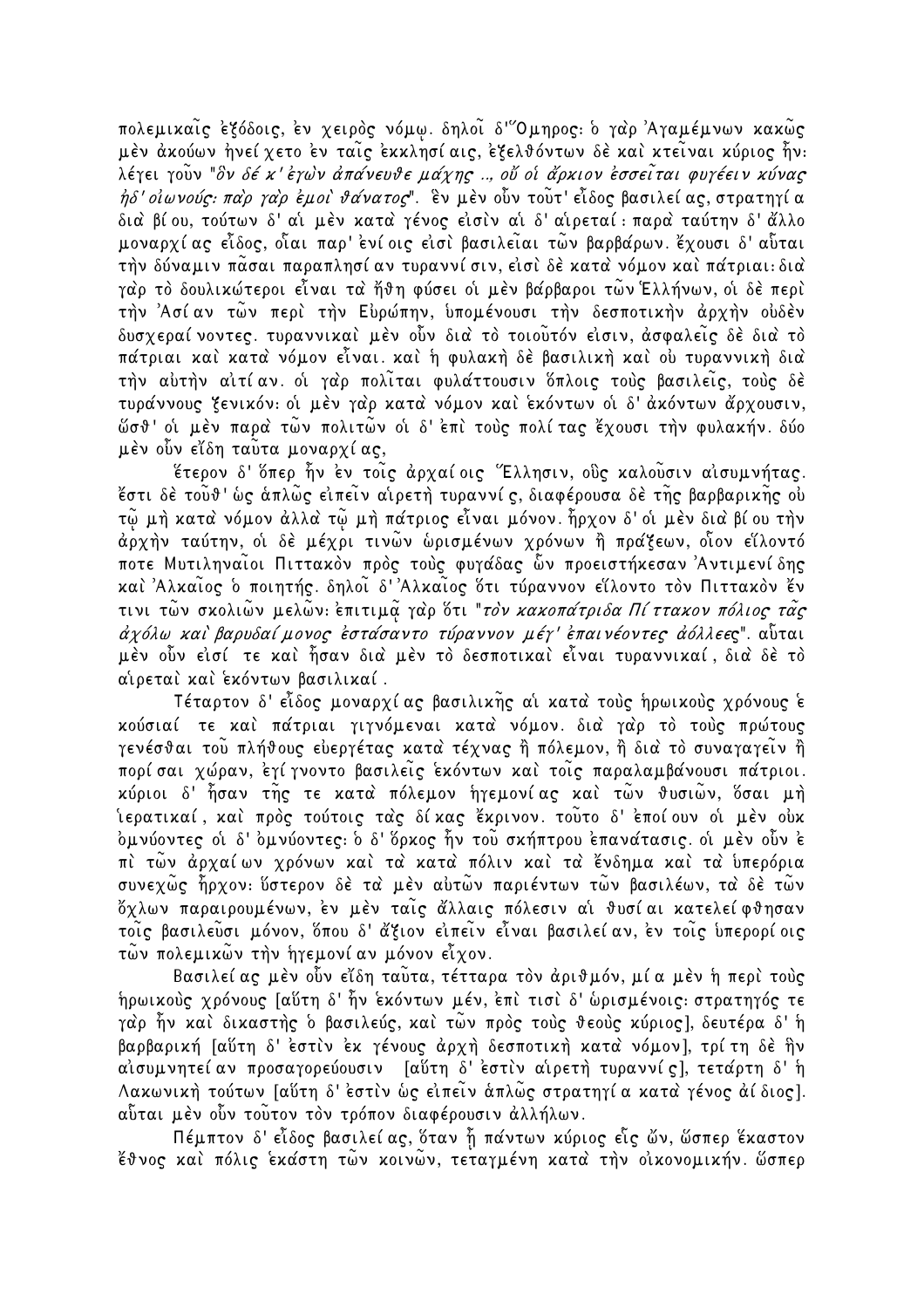πολεμικαίς εξόδοις, εν χειρός νόμω. δηλοί δ' Όμηρος: δ γαρ Αγαμέμνων κακώς μέν άκούων ήνεί χετο έν ταις εκκλησί αις, εξελθόντων δε και κτειναι κύριος ήν: λέγει γούν "δν δέ κ' έγων άπάνευθε μάχης .., ού οί άρκιον έσσειται φυγέειν κύνας ήδ' σίωνούς: παρ γαρ έμοι θανατος". Εν μεν ούν τουτ' εἶδος βασιλεί ας, στρατηγία δια βίου, τούτων δ' αί μέν κατα γένος είσιν αί δ' αίρεταί: παρα ταύτην δ' άλλο μοναρχίας εἶδος, οἶαι παρ' ενίοις εἰσὶ βασιλεἶαι τῶν βαρβάρων. ἔχουσι δ' αὗται τήν δύναμιν πασαι παραπλησί αν τυραννί σιν, είσὶ δὲ κατα νόμον καὶ πάτριαι: δια γαρ τὸ δουλικώτεροι εἶναι τὰ ἤθη φύσει οἱ μὲν βαρβαροι τῶν Ἑλλήνων, οἱ δὲ περὶ την Άσίαν των περί την Ευρώπην, υπομένουσι την δεσποτικήν άρχην ουδέν δυσγεραί νοντες, τυραννικαί μέν οὖν δια το τοιοῦτόν εἰσιν, ἀσφαλεἶς δέ δια το πάτριαι και κατα νόμον είναι και ή φυλακή δε βασιλική και ού τυραννική δια τήν αύτήν αίτίαν. οί γαρ πολίται φυλάττουσιν δπλοις τούς βασιλείς, τούς δέ τυράννους ξενικόν: οί μέν γαρ κατα νόμον και εκόντων οί δ' ακόντων άρχουσιν, ώσθ' οι μέν παρα των πολιτων οι δ' επι τους πολίτας έχουσι την φυλακήν. δύο μέν ούν είδη ταύτα μοναρχίας,

έτερον δ' όπερ ήν έν τοις άρχαί οις Έλλησιν, ούς καλούσιν αισυμνήτας. έστι δὲ τοῦθ' ὡς ἁπλῶς εἰπεἶν αἱρετὴ τυραννίς, διαφέρουσα δὲ τῆς βαρβαρικῆς οὐ τὧ μή κατα νόμον άλλα τὧ μή πάτριος εἶναι μόνον. ἦρχον δ' οἱ μεν δια βί ου τήν άρχην ταύτην, οι δέ μέχρι τινών ωρισμένων χρόνων ή πράξεων, οίον είλοντό ποτε Μυτιληναίοι Πιττακόν πρός τούς φυγάδας ὧν προειστήκεσαν Άντιμενίδης και Αλκαΐος ο ποιητής. δηλοί δ' Αλκαΐος ότι τύραννον είλοντο τον Πιττακον έν τινι τών σκολιών μελών: επιτιμά γαρ ότι "τον κακοπάτριδα Πίττακον πόλιος τάς άχόλω και βαρυδαί μονος έστάσαντο τύραννον μέγ' έπαινέοντες άόλλεες". αύται μέν οὖν εἰσί τε καὶ ἦσαν δια μέν τὸ δεσποτικαὶ εἶναι τυραννικαί, δια δὲ τὸ αίρεται και εκόντων βασιλικαί.

Τέταρτον δ' είδος μοναρχίας βασιλικής αί κατα τούς ήρωικούς χρόνους ε κούσιαί τε και πάτριαι γιγνόμεναι κατα νόμον. δια γαρ το τους πρώτους γενέσθαι του πλήθους εύεργέτας κατα τέχνας ή πόλεμον, ή δια το συναγαγείν ή πορίσαι χώραν, έγίγνοντο βασιλείς εκόντων και τοις παραλαμβάνουσι πάτριοι. κύριοι δ' ἦσαν τῆς τε κατα πόλεμον ἡγεμονίας καὶ τῶν θυσιῶν, ὅσαι μὴ ίερατικαί, καὶ πρὸς τούτοις τας δίκας ἔκρινον. τοῦτο δ' ἐποίουν οί μέν οὐκ όμνύοντες οι δ' όμνύοντες: δ δ' όρκος ήν του σκήπτρου επανατασις. οι μεν ούν ε πὶ τῶν ἀρχαίων χρόνων καὶ τὰ κατὰ πόλιν καὶ τὰ ἔνδημα καὶ τὰ ὑπερόρια συνεχῶς ἦρχον: ὕστερον δὲ τα μὲν αὐτῶν παριέντων τῶν βασιλέων, τα δὲ τῶν όχλων παραιρουμένων, έν μέν ταις άλλαις πόλεσιν αι θυσίαι κατελεί φθησαν τοις βασιλεύσι μόνον, όπου δ' άξιον είπειν είναι βασιλεί αν, εν τοις υπερορίοις τῶν πολεμικῶν τὴν ἡγεμονί αν μόνον εἶχον.

Βασιλεί ας μέν ούν είδη ταυτα, τέτταρα τον άριθμόν, μία μέν ή περι τους ήρωικούς χρόνους [αύτη δ' ήν εκόντων μέν, επί τισί δ' ώρισμένοις: στρατηγός τε γαρ ἦν καὶ δικαστής ὁ βασιλεύς, καὶ των πρὸς τοὺς θεοὺς κύριος], δευτέρα δ' ἡ βαρβαρική [αύτη δ' έστιν έκ γένους άρχη δεσποτική κατα νόμον], τρί τη δε ήν αίσυμνητεί αν προσαγορεύουσιν [αύτη δ' έστιν αίρετη τυραννίς], τετάρτη δ' ή Λακωνική τούτων [αύτη δ' έστιν ώς είπειν άπλως στρατηγία κατα γένος αίδιος]. αὗται μέν οὖν τοῦτον τὸν τρόπον διαφέρουσιν ἀλλήλων.

Πέμπτον δ' είδος βασιλεί ας, δταν ή πάντων κύριος είς ών, ώσπερ έκαστον έθνος καὶ πόλις ἑκάστη τῶν κοινῶν, τεταγμένη κατα τὴν οἰκονομικήν. ὥσπερ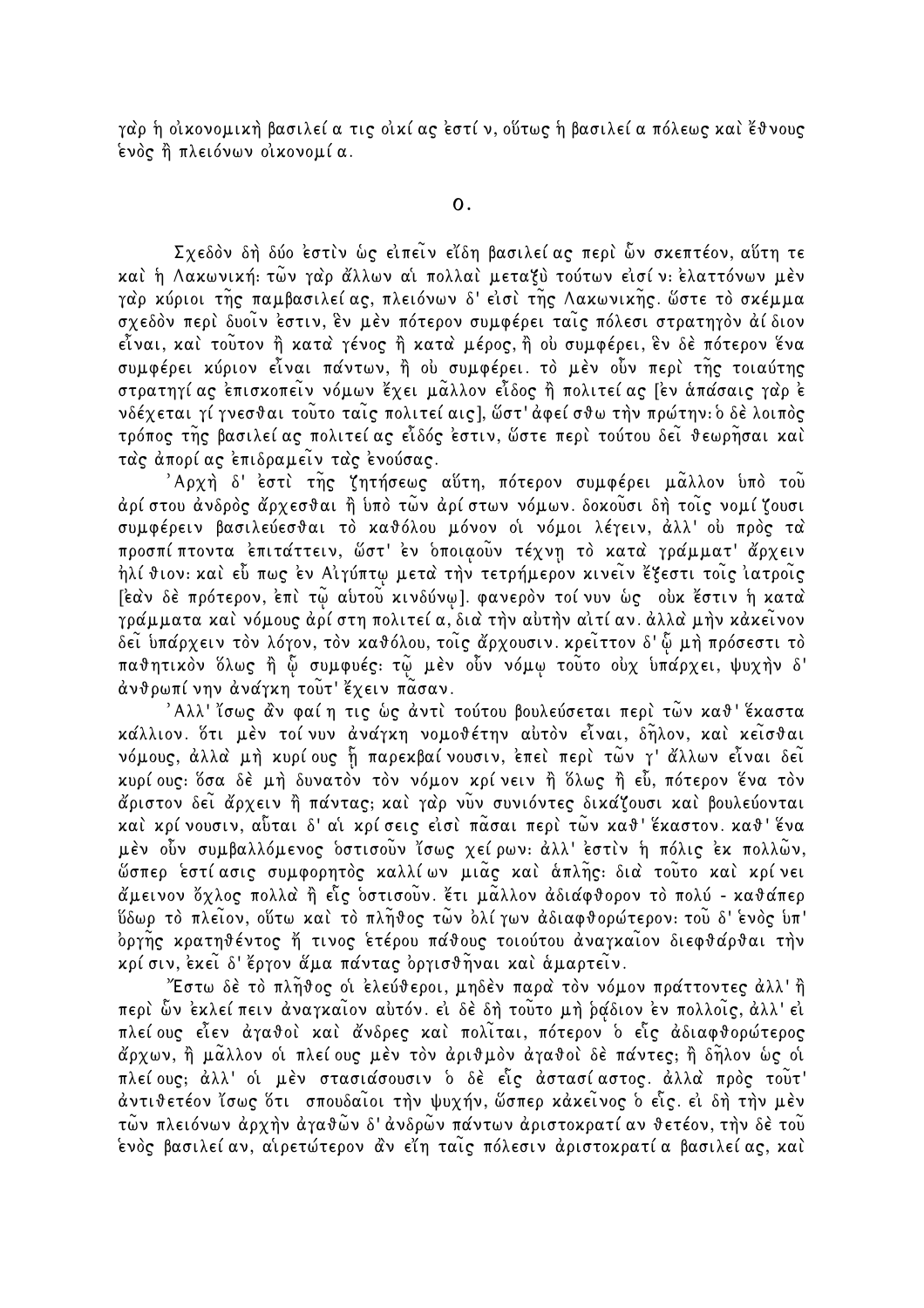γαρ ή οικονομική βασιλεί α τις οικί ας εστί ν, ούτως ή βασιλεί α πόλεως και έθνους ένός ή πλειόνων οικονομία.

Σχεδόν δη δύο έστιν ως ειπείν είδη βασιλεί ας περι ων σκεπτέον, αύτη τε καὶ ἡ Λακωνική: τῶν γαρ ἄλλων αἱ πολλαὶ μεταξὺ τούτων εἰσί ν: ἐλαττόνων μὲν γαρ κύριοι της παμβασιλεί ας, πλειόνων δ' είσι της Λακωνικης. ὥστε το σκέμμα σχεδόν περί δυοίν 'εστιν, έν μέν πότερον συμφέρει ταις πόλεσι στρατηγόν αίδιον εἶναι, καὶ τοῦτον ἢ κατὰ γένος ἢ κατὰ μέρος, ἢ οὐ συμφέρει, ἓν δὲ πότερον ἕνα συμφέρει κύριον είναι πάντων, ή ου συμφέρει το μεν ούν περί της τοιαύτης στρατηγίας επισκοπείν νόμων έχει μάλλον είδος ή πολιτείας Γεν άπάσαις γαρ ε νδέχεται γί γνεσθαι τούτο ταις πολιτεί αις], ώστ' άφεί σθω την πρώτην: δ δέ λοιπός τρόπος της βασιλεί ας πολιτεί ας εἶδός εστιν, ὥστε περὶ τούτου δει θεωρησαι καὶ τας απορίας επιδραμείν τας ενούσας.

'Αρχὴ δ' ἐστὶ τῆς ζητήσεως αὕτη, πότερον συμφέρει μᾶλλον ὑπὸ τοῦ άρίστου άνδρος άρχεσθαι ή υπο των αρίστων νόμων. δοκούσι δη τοις νομίζουσι συμφέρειν βασιλεύεσθαι το καθόλου μόνον οι νόμοι λέγειν, άλλ' ου προς τα προσπίπτοντα επιτάττειν, ὥστ' εν δποιαούν τέχνη το κατα γράμματ' ἄρχειν ήλίθιον: και εύ πως εν Αιγύπτω μετα την τετρήμερον κινείν έξεστι τοις ιατροίς [εαν δε πρότερον, επι τώ αυτού κινδύνω]. φανερον τοίνυν ως ουκ έστιν η κατα γράμματα και νόμους άρί στη πολιτεί α, δια την αυτην αιτί αν. άλλα μην κάκεινον δει υπάρχειν τον λόγον, τον καθόλου, τοις άρχουσιν. κρειττον δ' ω μη πρόσεστι το παθητικόν δλως ή ὧ συμφυές: τῷ μεν οὖν νόμψ τοῦτο ούχ ὑπάρχει, ψυχήν δ' άνθρωπί νην άνάγκη τούτ' έχειν πασαν.

'Αλλ' ἴσως ἂν φαί η τις ὡς ἀντὶ τούτου βουλεύσεται περὶ τῶν καθ' ἕκαστα κάλλιον. ὅτι μέν τοίνυν ἀνάγκη νομοθέτην αὐτὸν εἶναι, δηλον, καὶ κεἶσθαι νόμους, άλλα μή κυρίους ή παρεκβαίνουσιν, επεί περί των γ' άλλων είναι δεί κυρί ους: όσα δέ μή δυνατόν τον νόμον κρίνειν ή όλως ή εύ, πότερον ένα τον άριστον δει άρχειν ή πάντας, και γαρ νυν συνιόντες δικάζουσι και βουλεύονται και κρίνουσιν, αύται δ' αί κρίσεις είσι πάσαι περι των καθ' έκαστον. καθ' ένα μέν οὖν συμβαλλόμενος δστισοῦν ἴσως χείρων: ἀλλ' ἐστὶν ἡ πόλις ἐκ πολλῶν, ώσπερ έστίασις συμφορητός καλλίων μιάς και άπλης: δια τούτο και κρίνει άμεινον ὄχλος πολλα ἢ εἷς ὁστισοῦν. ἔτι μᾶλλον ἀδιαφθορον τὸ πολύ – καθαπερ ύδωρ τὸ πλεῖον, οὕτω καὶ τὸ πλῆθος τῶν ὀλίγων ἀδιαφθορώτερον: τοῦ δ' ἑνὸς ὑπ' όργης κρατηθέντος ή τινος ετέρου πάθους τοιούτου άναγκαιον διεφθάρθαι την κρί σιν, έκει δ' έργον άμα πάντας όργισθηναι και άμαρτειν.

"Έστω δὲ τὸ πλῆθος οἱ ἐλεύθεροι, μηδὲν παρα τὸν νόμον πραττοντες ἀλλ' ἢ περὶ ὧν ἐκλεί πειν ἀναγκαϊον αὐτόν. εἰ δὲ δὴ τοῦτο μὴ ῥάδιον ἐν πολλοϊς, ἀλλ' εἰ πλείους είεν άγαθοί και άνδρες και πολίται, πότερον ο είς αδιαφθορώτερος άρχων, ἢ μᾶλλον οί πλεί ους μὲν τὸν ἀριθμὸν ἀγαθοὶ δὲ πάντες; ἢ δῆλον ὡς οί πλείους; άλλ' οί μέν στασιάσουσιν ο δε είς αστασίαστος. άλλα πρός τούτ' άντιθετέον ἴσως ὅτι σπουδαῖοι τὴν ψυχήν, ὥσπερ κάκεῖνος ὁ εἶς εἰ δὴ τὴν μεν τῶν πλειόνων ἀρχὴν ἀγαθῶν δ' ἀνδρῶν πάντων ἀριστοκρατί αν θετέον, τὴν δὲ τοῦ ένὸς βασιλεί αν, αίρετώτερον ἀν εἴη ταις πόλεσιν ἀριστοκρατί α βασιλεί ας, και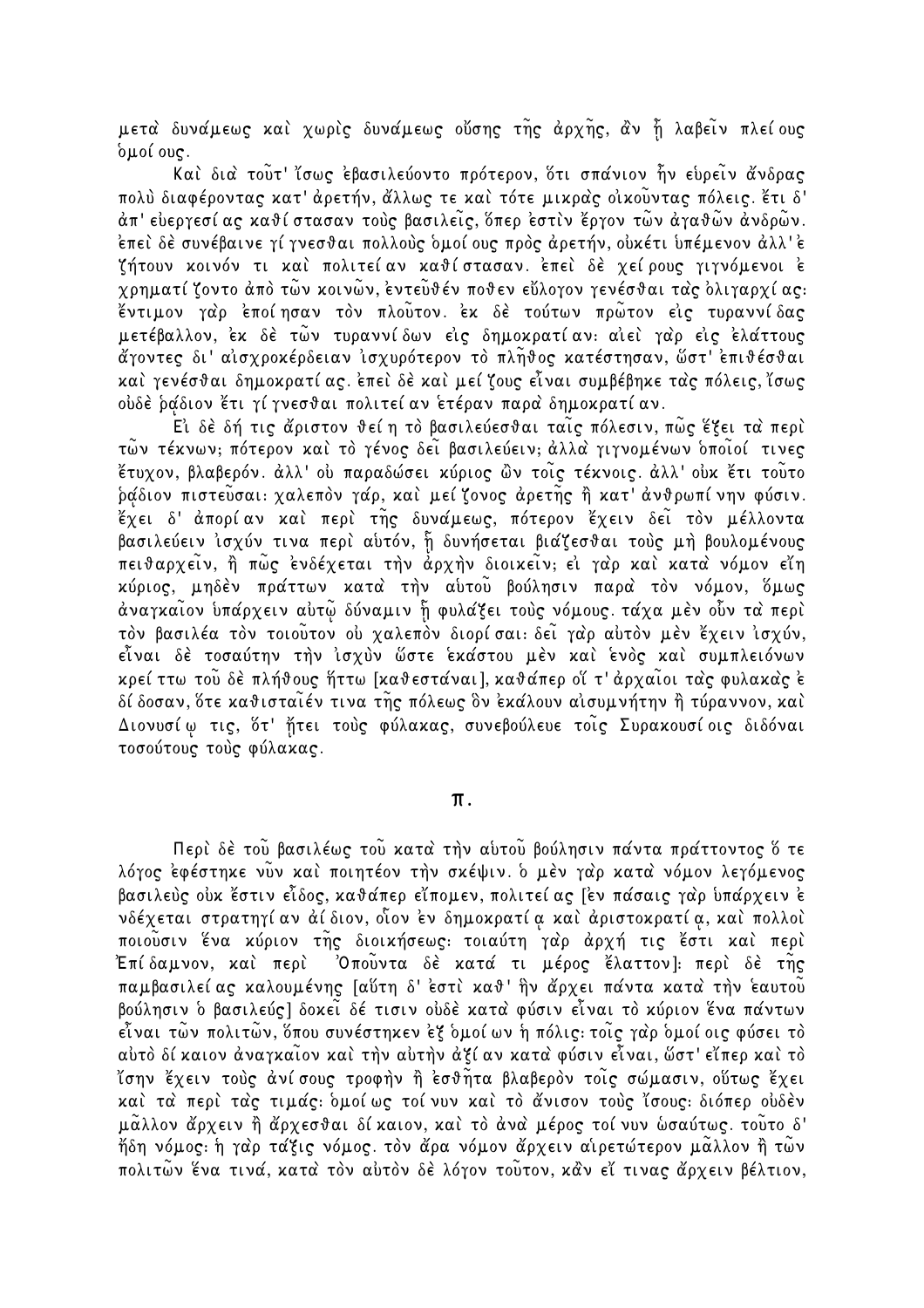μετα δυνάμεως και χωρις δυνάμεως ούσης της αρχης, αν η λαβείν πλεί ους  $b$ μοί  $o$ υς.

Καὶ δια τουτ' ἴσως ἐβασιλεύοντο πρότερον, ὅτι σπάνιον ἦν εὑρεϊν ἄνδρας πολύ διαφέροντας κατ' άρετήν, άλλως τε και τότε μικρας οικούντας πόλεις. έτι δ' άπ' εύεργεσί ας καθί στασαν τους βασιλείς, δπερ εστιν έργον τῶν ἀγαθῶν ἀνδρῶν. έπει δε συνέβαινε γί γνεσθαι πολλούς δμοί ους προς άρετήν, ουκέτι υπέμενον άλλ'ε ζήτουν κοινόν τι καί πολιτείαν καθίστασαν. επεί δε χείρους γιγνόμενοι ε γρηματί ζοντο άπό τῶν κοινῶν, εντεῦθέν ποθεν εὔλογον γενέσθαι τας δλιγαρχίας: έντιμον γαρ εποίησαν τον πλούτον. εκ δε τούτων πρώτον είς τυραννίδας μετέβαλλον, έκ δέ τών τυραννίδων είς δημοκρατίαν: αιεί γαρ είς ελάττους άγοντες δι' αισχροκέρδειαν ισχυρότερον το πληθος κατέστησαν, ώστ' επιθέσθαι και γενέσθαι δημοκρατίας. επει δε και μεί ζους είναι συμβέβηκε τας πόλεις, ίσως ούδέ ράδιον έτι γίγνεσθαι πολιτεί αν ετέραν παρα δημοκρατί αν.

Ει δέ δή τις άριστον θεί η τὸ βασιλεύεσθαι ταις πόλεσιν, πως έξει τα περὶ τῶν τέκνων; πότερον καὶ τὸ γένος δεἶ βασιλεύειν; ἀλλα γιγνομένων ὁποἶοί τινες έτυχον, βλαβερόν. άλλ' ού παραδώσει κύριος ὢν τοις τέκνοις. άλλ' ούκ έτι τούτο ράδιον πιστεύσαι: χαλεπον γάρ, και μεί ζονος άρετης ή κατ' άνθρωπί νην φύσιν. ἔχει δ' ἀπορίαν καὶ περὶ τῆς δυνάμεως, πότερον ἔχειν δεἶ τὸν μέλλοντα βασιλεύειν ισχύν τινα περι αυτόν, ή δυνήσεται βιάζεσθαι τους μη βουλομένους πειθαρχείν, ή πώς ενδέχεται την άρχην διοικείν; εί γαρ και κατα νόμον είη κύριος, μηδέν πράττων κατα την αυτού βούλησιν παρα τον νόμον, δμως άναγκαίον υπάρχειν αυτώ δύναμιν ή φυλάξει τους νόμους. τάχα μεν ούν τα περι τόν βασιλέα τον τοιούτον ου χαλεπον διορίσαι: δεί γαρ αυτον μεν έχειν ισχύν, εἶναι δέ τοσαύτην την Ίσχυν ὥστε Έκάστου μέν και Ένος και συμπλειόνων κρεί ττω του δέ πλήθους ήττω [καθεστάναι], καθάπερ οί τ' άρχαιοι τας φυλακας ε δί δοσαν, ότε καθισταιέν τινα της πόλεως δν εκαλουν αισυμνήτην ή τύραννον, και Διονυσίω τις, ότ' ήτει τούς φύλακας, συνεβούλευε τοις Συρακουσίοις διδόναι τοσούτους τούς φύλακας.

#### $\pi$ .

Περί δέ του βασιλέως του κατα την αύτου βούλησιν πάντα πράττοντος δ τε λόγος εφέστηκε νύν και ποιητέον την σκέψιν. ο μεν γαρ κατα νόμον λεγόμενος βασιλεύς ούκ έστιν εἶδος, καθάπερ εἴπομεν, πολιτεί ας |εν πάσαις γαρ υπάρχειν ε νδέχεται στρατηγίαν άίδιον, οίον εν δημοκρατία και άριστοκρατία, και πολλοι ποιούσιν ένα κύριον της διοικήσεως: τοιαύτη γαρ αρχή τις έστι και περι Ἐπίδαμνον, καὶ περὶ 'Οποῦντα δὲ κατά τι μέρος ἔλαττον]: περὶ δὲ τῆς παμβασιλείας καλουμένης [αύτη δ' έστι καθ' ήν άρχει πάντα κατα την εαυτού βούλησιν ὁ βασιλεύς] δοχει δέ τισιν οὐδὲ χατα φύσιν εἶναι τὸ χύριον ἕνα πάντων εἶναι τῶν πολιτῶν, ὅπου συνέστηκεν ἐξ ὁμοί ων ἡ πόλις: τοἶς γαρ ὁμοί οις φύσει τὸ αύτο δί καιον άναγκαίον και την αύτην άζί αν κατα φύσιν είναι, ώστ' είπερ και το ζσην έχειν τοὺς ἀνίσους τροφήν ἢ ἐσθῆτα βλαβερὸν τοἶς σώμασιν, οὕτως ἔχει καί τα περί τας τιμάς: δμοίως τοίνυν καί το άνισον τούς Ίσους: διόπερ ούδεν μᾶλλον ἄρχειν ἢ ἄρχεσθαι δί καιον, καὶ τὸ ἀνα μέρος τοί νυν ὡσαύτως. τοῦτο δ' ήδη νόμος: ἡ γαρ ταξις νόμος. τὸν ἄρα νόμον ἄρχειν αἱρετώτερον μᾶλλον ἢ τῶν πολιτών ένα τινά, κατα τον αύτον δε λόγον τούτον, κάν εί τινας άρχειν βέλτιον,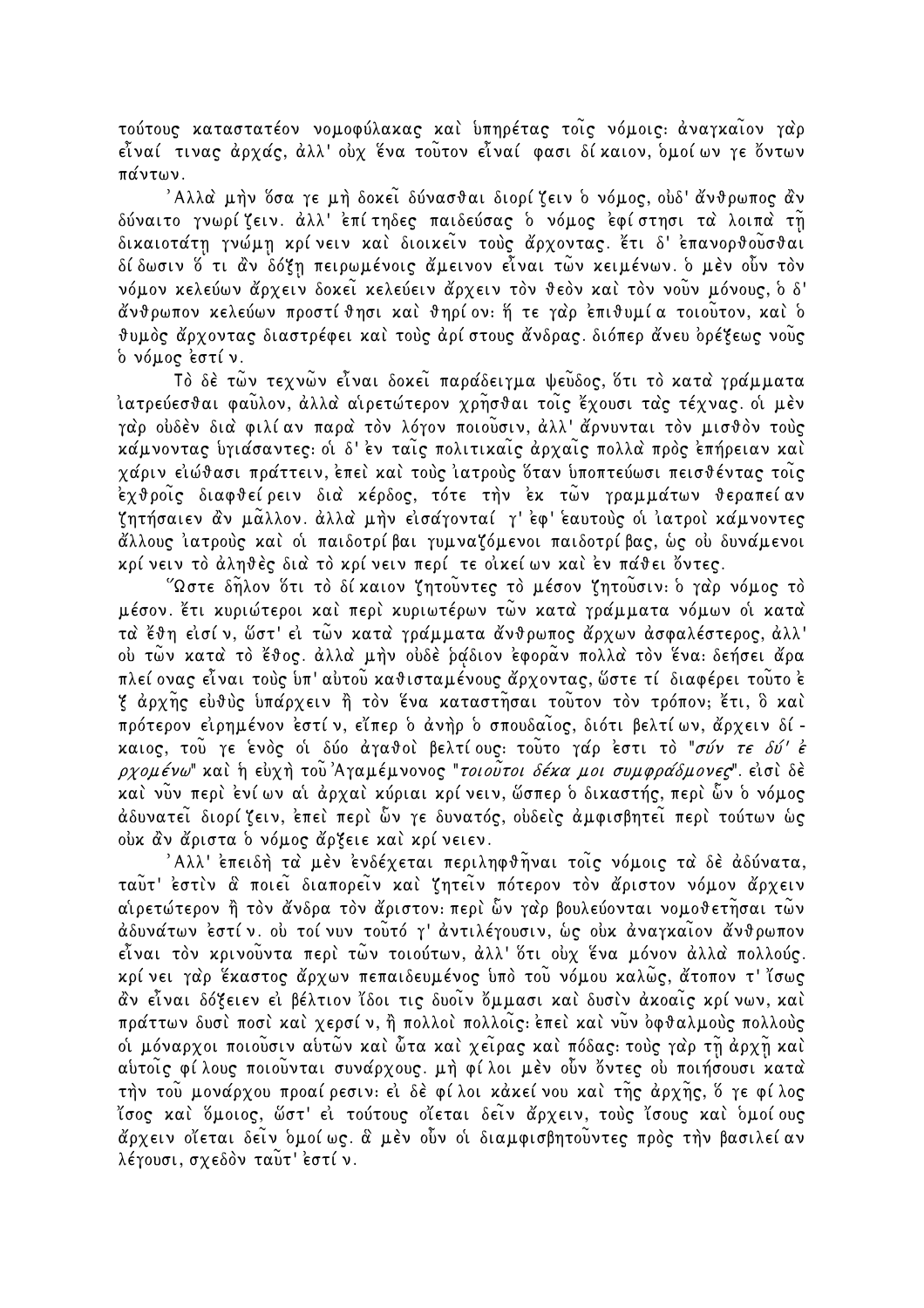τούτους καταστατέον νομοφύλακας και υπηρέτας τοις νόμοις: αναγκαιον γαρ εἶναί τινας ἀρχάς, ἀλλ' οὐχ ἕνα τοῦτον εἶναί φασι δίκαιον, ὁμοί ων γε ὄντων πάντων.

'Αλλα μήν δσα γε μή δοχεἶ δύνασθαι διορίζειν δ νόμος, οὐδ' ἄνθρωπος ἀν δύναιτο γνωρίζειν. άλλ' επίτηδες παιδεύσας ο νόμος εφίστησι τα λοιπα τη δικαιοτάτη γνώμη κρίνειν και διοικείν τους άρχοντας. έτι δ' επανορθούσθαι δίδωσιν δ τι άν δόξη πειρωμένοις άμεινον είναι των κειμένων. δ μεν ούν τον νόμον κελεύων άρχειν δοκεί κελεύειν άρχειν τον θεον και τον νούν μόνους, ο δ' άνθρωπον κελεύων προστίθησι καὶ θηρίον: ἥ τε γαρ ἐπιθυμία τοιοῦτον, καὶ ὁ θυμός άρχοντας διαστρέφει και τους αρίστους άνδρας. διόπερ άνευ ορέξεως νους δ νόμος έστίν.

Τὸ δε τῶν τεχνῶν εἶναι δοκει παραδειγμα ψεύδος, ὅτι τὸ κατα γραμματα ιατρεύεσθαι φαῦλον, ἀλλα αἱρετώτερον χρῆσθαι τοῖς ἔχουσι τας τέχνας, οἱ μὲν γαρ ουδέν δια φιλίαν παρα τον λόγον ποιούσιν, άλλ' άρνυνται τον μισθον τους κάμνοντας υγιάσαντες: οι δ'εν ταις πολιτικαις άρχαις πολλα προς επήρειαν και γάριν ειώθασι πράττειν, επεί και τούς ιατρούς όταν υποπτεύωσι πεισθέντας τοις έχθροις διαφθείρειν δια κέρδος, τότε την εκ των γραμμάτων θεραπείαν ζητήσαιεν άν μαλλον. άλλα μήν εισάγονταί γ'εφ' εαυτούς οι ιατροί κάμνοντες άλλους ιατρούς και οι παιδοτρίβαι γυμναζόμενοι παιδοτρίβας, ώς ου δυνάμενοι κρί νειν το άληθές δια το κρί νειν περί τε οίκεί ων και έν πάθει όντες.

ΎΩστε δῆλον ὅτι τὸ δίχαιον Υητοῦντες τὸ μέσον Υητοῦσιν: ὁ γαρ νόμος τὸ μέσον. έτι κυριώτεροι καὶ περὶ κυριωτέρων τῶν κατὰ γράμματα νόμων οί κατὰ τα έθη είσίν, ώστ' εί των κατα γράμματα άνθρωπος άρχων ασφαλέστερος, άλλ' ού των κατα το έθος. άλλα μήν ούδε ράδιον εφοραν πολλα τον ένα: δεήσει άρα πλεί ονας είναι τούς ύπ' αύτου καθισταμένους άρχοντας, ώστε τί διαφέρει τουτο ε ζ άρχης εύθυς υπάρχειν ή τον ένα καταστησαι τούτον τον τρόπον, έτι, ο και πρότερον ειρημένον εστίν, είπερ ο άνηρ ο σπουδαίος, διότι βελτίων, άρχειν δίκαιος, του γε ένος οί δύο άγαθοί βελτίους: τούτο γάρ έστι το "σύν τε δύ' έ ρχομένω" και η εύχη του Αγαμέμνονος "τοιούτοι δέκα μοι συμφράδμονες". εισι δε καὶ νῦν περὶ ἐνίων αἱ ἀρχαὶ κύριαι κρί νειν, ὥσπερ ὁ δικαστής, περὶ ὧν ὁ νόμος άδυνατει διορίζειν, επει περι ὧν γε δυνατός, ουδεις αμφισβητει περι τούτων ως ούκ άν άριστα ο νόμος άρξειε και κρί νειεν.

'Αλλ' επειδή τα μεν ενδέχεται περιληφθηναι τοις νόμοις τα δε αδύνατα, ταῦτ' ἐστὶν ὰ ποιεἶ διαπορεἶν καὶ ζητεἶν πότερον τὸν ἄριστον νόμον ἄρχειν αίρετώτερον ή τον άνδρα τον άριστον: περι ὧν γαρ βουλεύονται νομοθετησαι τῶν άδυνάτων 'εστίν. ού τοίνυν τούτό γ' άντιλέγουσιν, ώς ούκ άναγκαιον άνθρωπον εἶναι τὸν κρινοῦντα περὶ τῶν τοιούτων, ἀλλ' ὅτι οὐχ ἕνα μόνον ἀλλα πολλούς. κρίνει γαρ έκαστος άρχων πεπαιδευμένος υπό του νόμου καλως, άτοπον τ' ίσως αν εἶναι δόξειεν εἰ βέλτιον ἴδοι τις δυοἶν ὄμμασι καὶ δυσὶν ἀκοαἶς κρίνων, καὶ πράττων δυσί ποσί και χερσίν, ή πολλοι πολλοις: επει και νύν οφθαλμους πολλους οί μόναρχοι ποιούσιν αύτών και ὦτα και χείρας και πόδας: τους γαρ τη άρχη και αυτοίς φίλους ποιούνται συναρχους. μή φίλοι μέν ούν όντες ου ποιήσουσι κατα τὴν τοῦ μονάρχου προαίρεσιν: εἰ δὲ φίλοι κἀκείνου καὶ τῆς ἀρχῆς, ὅ γε φίλος Ίσος καὶ ὅμοιος, ὥστ' εἰ τούτους οἴεται δεἶν ἄρχειν, τοὺς ἴσους καὶ ὁμοίους άρχειν οἴεται δεἶν δμοίως. & μὲν οὗν οἱ διαμφισβητοῦντες πρὸς τὴν βασιλείαν λέγουσι, σχεδόν ταυτ' έστίν.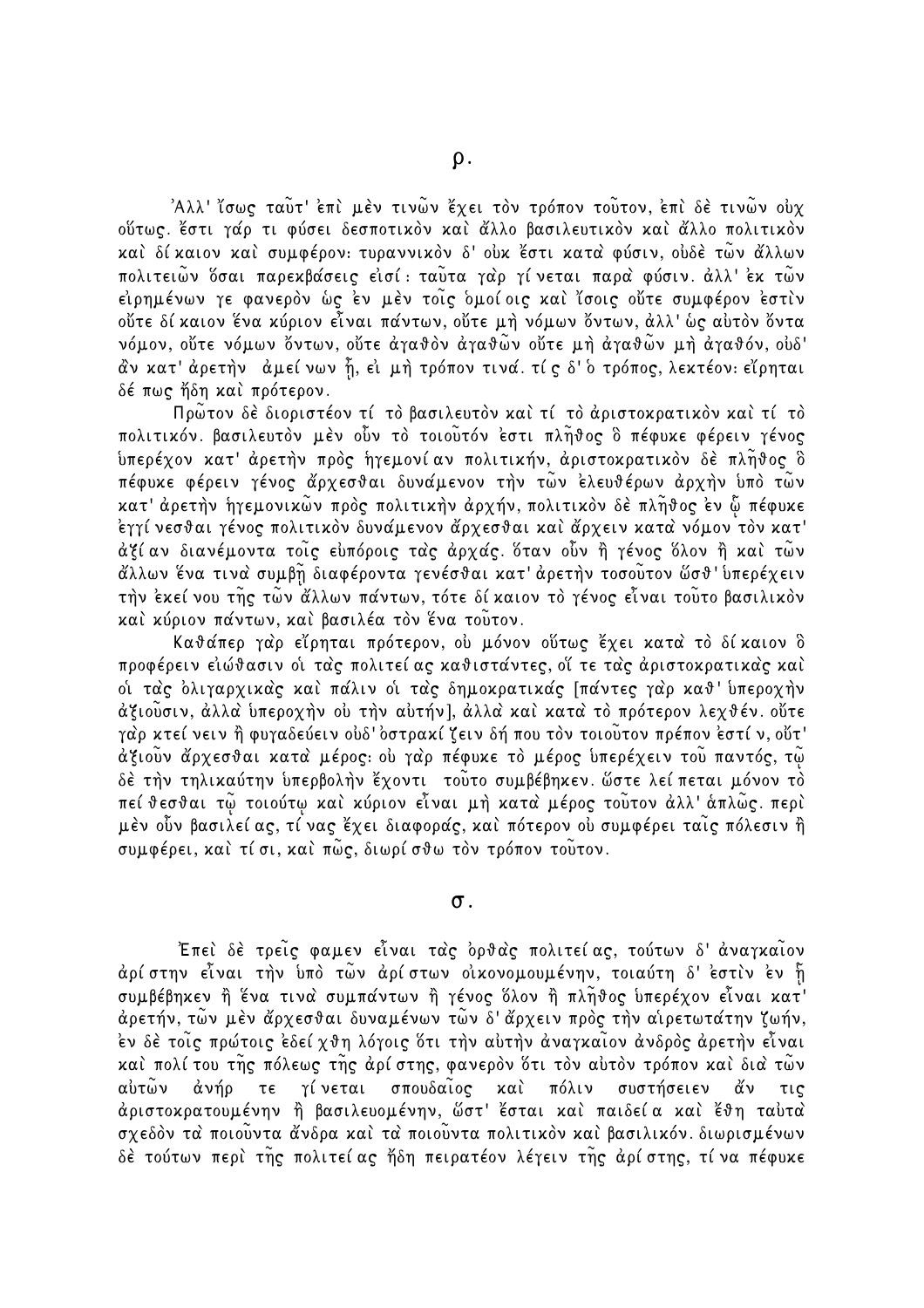Άλλ' ἴσως ταῦτ' ἐπὶ μὲν τινῶν ἔχει τὸν τρόπον τοῦτον, ἐπὶ δὲ τινῶν οὐχ ούτως. έστι γάρ τι φύσει δεσποτικόν και άλλο βασιλευτικόν και άλλο πολιτικόν καί δίκαιον καί συμφέρον: τυραννικόν δ' ούκ έστι κατα φύσιν, ούδέ των άλλων πολιτειών δσαι παρεκβάσεις είσί: ταύτα γαρ γίνεται παρα φύσιν. άλλ' έκ τών είρημένων γε φανερόν ώς έν μέν τοις δμοίοις και Ίσοις ούτε συμφέρον εστιν ούτε δί καιον ένα κύριον είναι πάντων, ούτε μή νόμων όντων, άλλ' ώς αυτόν όντα νόμον, ούτε νόμων όντων, ούτε άγαθον άγαθων ούτε μη άγαθων μη άγαθόν, ουδ' άν κατ' άρετην άμεί νων η, εί μη τρόπον τινά. τίς δ' ο τρόπος, λεκτέον: είρηται δέ πως ήδη και πρότερον.

Πρώτον δέ διοριστέον τί τὸ βασιλευτὸν καὶ τί τὸ ἀριστοκρατικὸν καὶ τί τὸ πολιτικόν. βασιλευτον μεν ούν το τοιούτόν εστι πληθος ο πέφυκε φέρειν γένος υπερέχον κατ' άρετην πρός ηγεμονίαν πολιτικήν, άριστοκρατικόν δέ πληθος δ πέφυκε φέρειν γένος άρχεσθαι δυνάμενον την των ελευθέρων άρχην υπό των κατ' άρετην ηγεμονικών πρός πολιτικην άρχην, πολιτικόν δέ πληθος έν ὧ πέφυκε εγγίνεσθαι γένος πολιτικόν δυνάμενον άρχεσθαι και άρχειν κατα νόμον τον κατ' άζίαν διανέμοντα τοις ευπόροις τας άρχας. όταν ούν ή γένος όλον ή και των άλλων ένα τινα συμβη διαφέροντα γενέσθαι κατ' άρετην τοσούτον ώσθ' ύπερέχειν την έκεί νου της των άλλων πάντων, τότε δί καιον το γένος είναι τουτο βασιλικον και κύριον πάντων, και βασιλέα τον ένα τουτον.

Καθάπερ γαρ είρηται πρότερον, ού μόνον ούτως έχει κατα το δίκαιον δ προφέρειν ειώθασιν οι τας πολιτεί ας καθιστάντες, οί τε τας άριστοκρατικας και οί τας ολιγαρχικας και πάλιν οι τας δημοκρατικάς [πάντες γαρ καθ' υπεροχήν άζιούσιν, άλλα υπεροχην ου την αυτήν], άλλα και κατα το πρότερον λεχθέν. ούτε γαρ κτεί νειν ή φυγαδεύειν ουδ' οστρακί ζειν δή που τον τοιούτον πρέπον εστί ν, ούτ' άξιούν άρχεσθαι κατα μέρος: ου γαρ πέφυκε το μέρος υπερέχειν του παντός, τω δέ την τηλικαύτην υπερβολην έχοντι τούτο συμβέβηκεν. ώστε λεί πεται μόνον το πεί θεσθαι τώ τοιούτω και κύριον είναι μή κατα μέρος τούτον άλλ' άπλώς. περι μέν ούν βασιλεί ας, τί νας έχει διαφοράς, και πότερον ου συμφέρει ταις πόλεσιν ή συμφέρει, και τίσι, και πώς, διωρίσθω τον τρόπον τούτον.

#### $\sigma$ .

Έπεὶ δὲ τρεῖς φαμεν εἶναι τας ὀρθας πολιτείας, τούτων δ' ἀναγκαῖον άρίστην εἶναι τὴν ὑπὸ τῶν ἀρίστων οἰκονομουμένην, τοιαύτη δ' ἐστὶν ἐν ἡ συμβέβηκεν ή ένα τινα συμπάντων ή γένος δλον ή πληθος υπερέχον είναι κατ' άρετήν, τῶν μὲν ἄρχεσθαι δυναμένων τῶν δ' ἄρχειν πρὸς τὴν αίρετωτατην ζωήν, έν δε τοις πρώτοις εδεί χθη λόγοις ότι την αύτην αναγκαιον άνδρος άρετην είναι και πολίτου της πόλεως της άρίστης, φανερον ότι τον αύτον τρόπον και δια των γίνεται σπουδαίος και αύτων πόλιν συστήσειεν άνήρ  $\tau \epsilon$ άν  $\tau$ <sub>LC</sub> άριστοκρατουμένην ή βασιλευομένην, ώστ' έσται και παιδεία και έθη ταύτα σχεδόν τα ποιούντα άνδρα και τα ποιούντα πολιτικόν και βασιλικόν. διωρισμένων δέ τούτων περί της πολιτείας ήδη πειρατέον λέγειν της άρίστης, τίνα πέφυχε